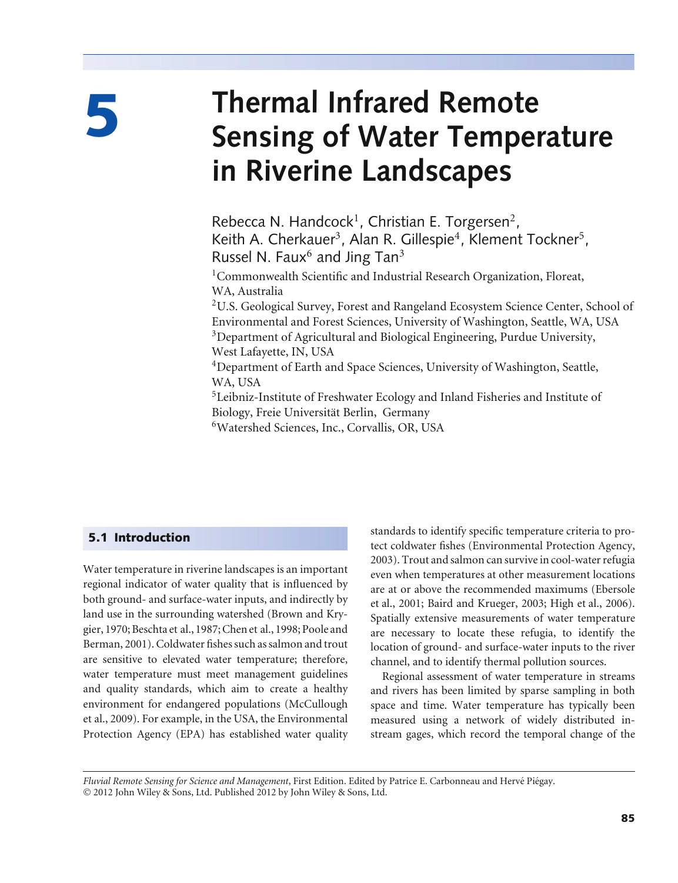# **5 Thermal Infrared Remote Sensing of Water Temperature in Riverine Landscapes**

Rebecca N. Handcock<sup>1</sup>, Christian E. Torgersen<sup>2</sup>, Keith A. Cherkauer<sup>3</sup>, Alan R. Gillespie<sup>4</sup>, Klement Tockner<sup>5</sup>, Russel N. Faux<sup>6</sup> and Jing Tan<sup>3</sup>

<sup>1</sup>Commonwealth Scientific and Industrial Research Organization, Floreat, WA, Australia

2U.S. Geological Survey, Forest and Rangeland Ecosystem Science Center, School of Environmental and Forest Sciences, University of Washington, Seattle, WA, USA <sup>3</sup>Department of Agricultural and Biological Engineering, Purdue University, West Lafayette, IN, USA

<sup>4</sup>Department of Earth and Space Sciences, University of Washington, Seattle, WA, USA

5Leibniz-Institute of Freshwater Ecology and Inland Fisheries and Institute of Biology, Freie Universitat Berlin, Germany ¨ 6Watershed Sciences, Inc., Corvallis, OR, USA

# **5.1 Introduction**

Water temperature in riverine landscapes is an important regional indicator of water quality that is influenced by both ground- and surface-water inputs, and indirectly by land use in the surrounding watershed (Brown and Krygier, 1970; Beschta et al., 1987; Chen et al., 1998; Poole and Berman, 2001). Coldwater fishes such as salmon and trout are sensitive to elevated water temperature; therefore, water temperature must meet management guidelines and quality standards, which aim to create a healthy environment for endangered populations (McCullough et al., 2009). For example, in the USA, the Environmental Protection Agency (EPA) has established water quality standards to identify specific temperature criteria to protect coldwater fishes (Environmental Protection Agency, 2003). Trout and salmon can survive in cool-water refugia even when temperatures at other measurement locations are at or above the recommended maximums (Ebersole et al., 2001; Baird and Krueger, 2003; High et al., 2006). Spatially extensive measurements of water temperature are necessary to locate these refugia, to identify the location of ground- and surface-water inputs to the river channel, and to identify thermal pollution sources.

Regional assessment of water temperature in streams and rivers has been limited by sparse sampling in both space and time. Water temperature has typically been measured using a network of widely distributed instream gages, which record the temporal change of the

*Fluvial Remote Sensing for Science and Management*, First Edition. Edited by Patrice E. Carbonneau and Hervé Piégay. © 2012 John Wiley & Sons, Ltd. Published 2012 by John Wiley & Sons, Ltd.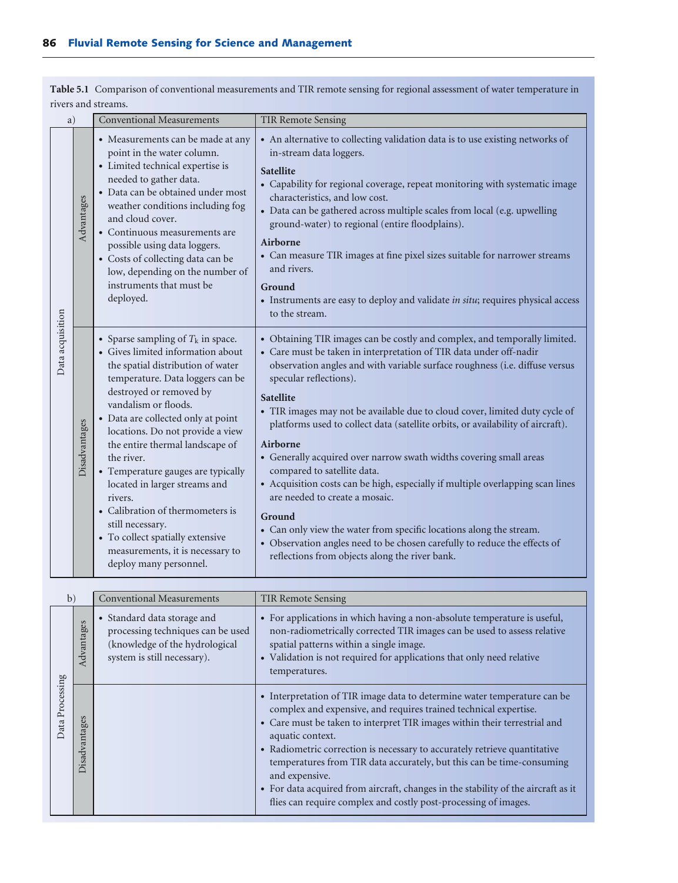| a)               |               | <b>Conventional Measurements</b>                                                                                                                                                                                                                                                                                                                                                                                                                                                                                                                                             | <b>TIR Remote Sensing</b>                                                                                                                                                                                                                                                                                                                                                                                                                                                                                                                                                                                                                                                                                                                                                                                                                                                                           |
|------------------|---------------|------------------------------------------------------------------------------------------------------------------------------------------------------------------------------------------------------------------------------------------------------------------------------------------------------------------------------------------------------------------------------------------------------------------------------------------------------------------------------------------------------------------------------------------------------------------------------|-----------------------------------------------------------------------------------------------------------------------------------------------------------------------------------------------------------------------------------------------------------------------------------------------------------------------------------------------------------------------------------------------------------------------------------------------------------------------------------------------------------------------------------------------------------------------------------------------------------------------------------------------------------------------------------------------------------------------------------------------------------------------------------------------------------------------------------------------------------------------------------------------------|
| Data acquisition | Advantages    | • Measurements can be made at any<br>point in the water column.<br>• Limited technical expertise is<br>needed to gather data.<br>• Data can be obtained under most<br>weather conditions including fog<br>and cloud cover.<br>• Continuous measurements are<br>possible using data loggers.<br>• Costs of collecting data can be<br>low, depending on the number of<br>instruments that must be<br>deployed.                                                                                                                                                                 | • An alternative to collecting validation data is to use existing networks of<br>in-stream data loggers.<br><b>Satellite</b><br>• Capability for regional coverage, repeat monitoring with systematic image<br>characteristics, and low cost.<br>• Data can be gathered across multiple scales from local (e.g. upwelling<br>ground-water) to regional (entire floodplains).<br>Airborne<br>• Can measure TIR images at fine pixel sizes suitable for narrower streams<br>and rivers.<br>Ground<br>• Instruments are easy to deploy and validate in situ; requires physical access<br>to the stream.                                                                                                                                                                                                                                                                                                |
|                  | Disadvantages | • Sparse sampling of $T_k$ in space.<br>• Gives limited information about<br>the spatial distribution of water<br>temperature. Data loggers can be<br>destroyed or removed by<br>vandalism or floods.<br>• Data are collected only at point<br>locations. Do not provide a view<br>the entire thermal landscape of<br>the river.<br>• Temperature gauges are typically<br>located in larger streams and<br>rivers.<br>• Calibration of thermometers is<br>still necessary.<br>• To collect spatially extensive<br>measurements, it is necessary to<br>deploy many personnel. | • Obtaining TIR images can be costly and complex, and temporally limited.<br>• Care must be taken in interpretation of TIR data under off-nadir<br>observation angles and with variable surface roughness (i.e. diffuse versus<br>specular reflections).<br><b>Satellite</b><br>• TIR images may not be available due to cloud cover, limited duty cycle of<br>platforms used to collect data (satellite orbits, or availability of aircraft).<br>Airborne<br>• Generally acquired over narrow swath widths covering small areas<br>compared to satellite data.<br>• Acquisition costs can be high, especially if multiple overlapping scan lines<br>are needed to create a mosaic.<br>Ground<br>• Can only view the water from specific locations along the stream.<br>• Observation angles need to be chosen carefully to reduce the effects of<br>reflections from objects along the river bank. |

**Table 5.1** Comparison of conventional measurements and TIR remote sensing for regional assessment of water temperature in rivers and streams.

| b)              |               | <b>Conventional Measurements</b>                                                                                                  | <b>TIR Remote Sensing</b>                                                                                                                                                                                                                                                                                                                                                                                                                                                                                                                                                     |
|-----------------|---------------|-----------------------------------------------------------------------------------------------------------------------------------|-------------------------------------------------------------------------------------------------------------------------------------------------------------------------------------------------------------------------------------------------------------------------------------------------------------------------------------------------------------------------------------------------------------------------------------------------------------------------------------------------------------------------------------------------------------------------------|
| Data Processing | Advantages    | • Standard data storage and<br>processing techniques can be used<br>(knowledge of the hydrological<br>system is still necessary). | • For applications in which having a non-absolute temperature is useful,<br>non-radiometrically corrected TIR images can be used to assess relative<br>spatial patterns within a single image.<br>• Validation is not required for applications that only need relative<br>temperatures.                                                                                                                                                                                                                                                                                      |
|                 | Disadvantages |                                                                                                                                   | • Interpretation of TIR image data to determine water temperature can be<br>complex and expensive, and requires trained technical expertise.<br>• Care must be taken to interpret TIR images within their terrestrial and<br>aquatic context.<br>• Radiometric correction is necessary to accurately retrieve quantitative<br>temperatures from TIR data accurately, but this can be time-consuming<br>and expensive.<br>• For data acquired from aircraft, changes in the stability of the aircraft as it<br>flies can require complex and costly post-processing of images. |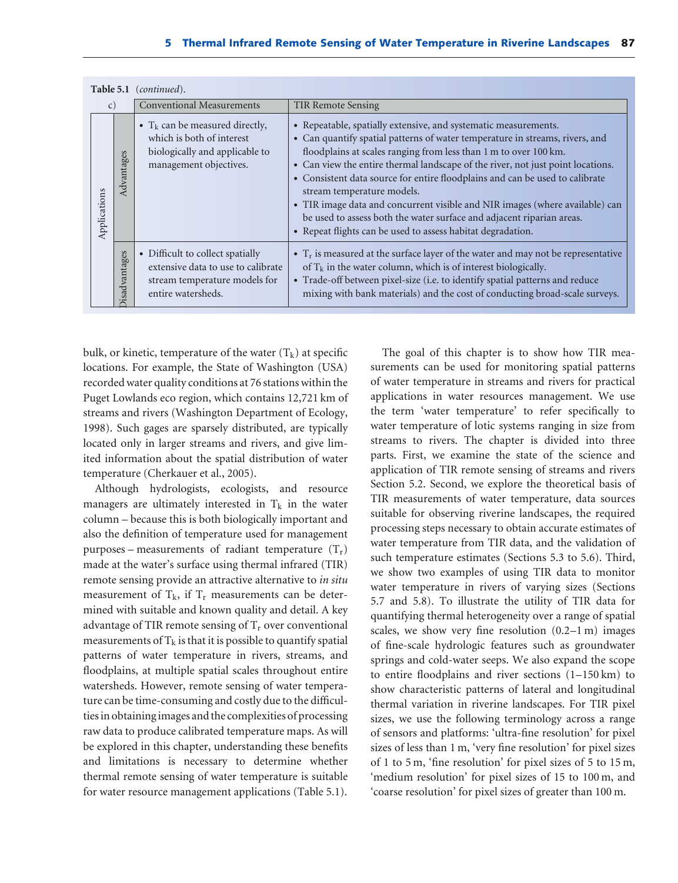#### **5 Thermal Infrared Remote Sensing of Water Temperature in Riverine Landscapes 87**

|                 |              | <b>Table 5.1</b> (continued).                                                                                                 |                                                                                                                                                                                                                                                                                                                                                                                                                                                                                                                                                                                                                                              |
|-----------------|--------------|-------------------------------------------------------------------------------------------------------------------------------|----------------------------------------------------------------------------------------------------------------------------------------------------------------------------------------------------------------------------------------------------------------------------------------------------------------------------------------------------------------------------------------------------------------------------------------------------------------------------------------------------------------------------------------------------------------------------------------------------------------------------------------------|
| $\mathcal{C}$ ) |              | <b>Conventional Measurements</b>                                                                                              | <b>TIR Remote Sensing</b>                                                                                                                                                                                                                                                                                                                                                                                                                                                                                                                                                                                                                    |
| Applications    | Advantages   | • $T_k$ can be measured directly,<br>which is both of interest<br>biologically and applicable to<br>management objectives.    | • Repeatable, spatially extensive, and systematic measurements.<br>• Can quantify spatial patterns of water temperature in streams, rivers, and<br>floodplains at scales ranging from less than 1 m to over 100 km.<br>• Can view the entire thermal landscape of the river, not just point locations.<br>• Consistent data source for entire floodplains and can be used to calibrate<br>stream temperature models.<br>• TIR image data and concurrent visible and NIR images (where available) can<br>be used to assess both the water surface and adjacent riparian areas.<br>• Repeat flights can be used to assess habitat degradation. |
|                 | isadvantages | • Difficult to collect spatially<br>extensive data to use to calibrate<br>stream temperature models for<br>entire watersheds. | $\bullet$ T <sub>r</sub> is measured at the surface layer of the water and may not be representative<br>of $T_k$ in the water column, which is of interest biologically.<br>• Trade-off between pixel-size (i.e. to identify spatial patterns and reduce<br>mixing with bank materials) and the cost of conducting broad-scale surveys.                                                                                                                                                                                                                                                                                                      |

bulk, or kinetic, temperature of the water  $(T_k)$  at specific locations. For example, the State of Washington (USA) recorded water quality conditions at 76 stations within the Puget Lowlands eco region, which contains 12,721 km of streams and rivers (Washington Department of Ecology, 1998). Such gages are sparsely distributed, are typically located only in larger streams and rivers, and give limited information about the spatial distribution of water temperature (Cherkauer et al., 2005).

Although hydrologists, ecologists, and resource managers are ultimately interested in  $T_k$  in the water column – because this is both biologically important and also the definition of temperature used for management purposes – measurements of radiant temperature  $(T_r)$ made at the water's surface using thermal infrared (TIR) remote sensing provide an attractive alternative to *in situ* measurement of  $T_k$ , if  $T_r$  measurements can be determined with suitable and known quality and detail. A key advantage of TIR remote sensing of  $T_r$  over conventional measurements of  $T_k$  is that it is possible to quantify spatial patterns of water temperature in rivers, streams, and floodplains, at multiple spatial scales throughout entire watersheds. However, remote sensing of water temperature can be time-consuming and costly due to the difficulties in obtaining images and the complexities of processing raw data to produce calibrated temperature maps. As will be explored in this chapter, understanding these benefits and limitations is necessary to determine whether thermal remote sensing of water temperature is suitable for water resource management applications (Table 5.1).

The goal of this chapter is to show how TIR measurements can be used for monitoring spatial patterns of water temperature in streams and rivers for practical applications in water resources management. We use the term 'water temperature' to refer specifically to water temperature of lotic systems ranging in size from streams to rivers. The chapter is divided into three parts. First, we examine the state of the science and application of TIR remote sensing of streams and rivers Section 5.2. Second, we explore the theoretical basis of TIR measurements of water temperature, data sources suitable for observing riverine landscapes, the required processing steps necessary to obtain accurate estimates of water temperature from TIR data, and the validation of such temperature estimates (Sections 5.3 to 5.6). Third, we show two examples of using TIR data to monitor water temperature in rivers of varying sizes (Sections 5.7 and 5.8). To illustrate the utility of TIR data for quantifying thermal heterogeneity over a range of spatial scales, we show very fine resolution  $(0.2-1 \text{ m})$  images of fine-scale hydrologic features such as groundwater springs and cold-water seeps. We also expand the scope to entire floodplains and river sections (1–150 km) to show characteristic patterns of lateral and longitudinal thermal variation in riverine landscapes. For TIR pixel sizes, we use the following terminology across a range of sensors and platforms: 'ultra-fine resolution' for pixel sizes of less than 1 m, 'very fine resolution' for pixel sizes of 1 to 5 m, 'fine resolution' for pixel sizes of 5 to 15 m, 'medium resolution' for pixel sizes of 15 to 100 m, and 'coarse resolution' for pixel sizes of greater than 100 m.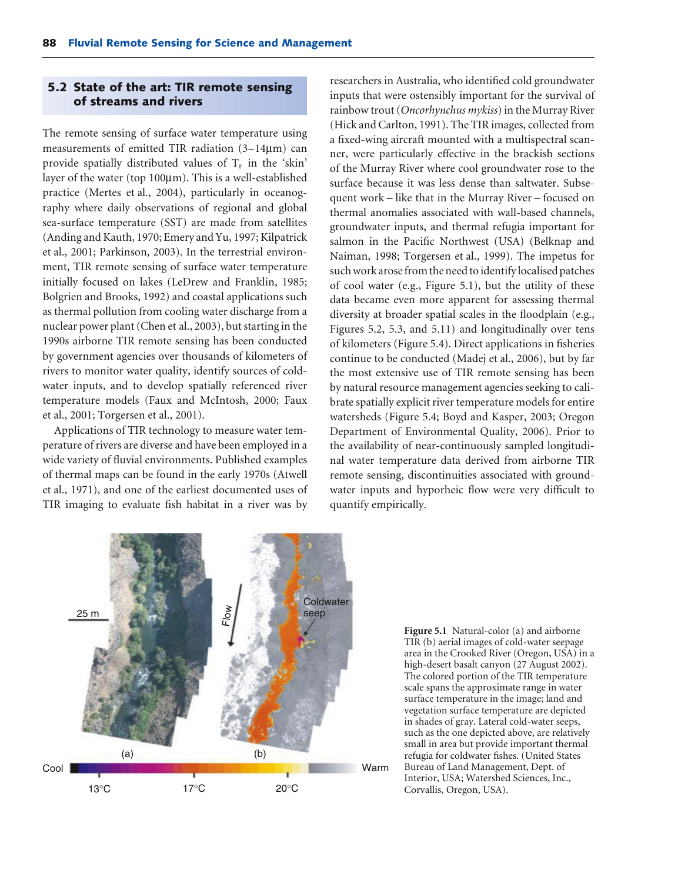# **5.2 State of the art: TIR remote sensing of streams and rivers**

The remote sensing of surface water temperature using measurements of emitted TIR radiation (3–14μm) can provide spatially distributed values of  $T_r$  in the 'skin' layer of the water (top 100μm). This is a well-established practice (Mertes et al., 2004), particularly in oceanography where daily observations of regional and global sea-surface temperature (SST) are made from satellites (Anding and Kauth, 1970; Emery and Yu, 1997; Kilpatrick et al., 2001; Parkinson, 2003). In the terrestrial environment, TIR remote sensing of surface water temperature initially focused on lakes (LeDrew and Franklin, 1985; Bolgrien and Brooks, 1992) and coastal applications such as thermal pollution from cooling water discharge from a nuclear power plant (Chen et al., 2003), but starting in the 1990s airborne TIR remote sensing has been conducted by government agencies over thousands of kilometers of rivers to monitor water quality, identify sources of coldwater inputs, and to develop spatially referenced river temperature models (Faux and McIntosh, 2000; Faux et al., 2001; Torgersen et al., 2001).

Applications of TIR technology to measure water temperature of rivers are diverse and have been employed in a wide variety of fluvial environments. Published examples of thermal maps can be found in the early 1970s (Atwell et al., 1971), and one of the earliest documented uses of TIR imaging to evaluate fish habitat in a river was by researchers in Australia, who identified cold groundwater inputs that were ostensibly important for the survival of rainbow trout (*Oncorhynchus mykiss*) in the Murray River (Hick and Carlton, 1991). The TIR images, collected from a fixed-wing aircraft mounted with a multispectral scanner, were particularly effective in the brackish sections of the Murray River where cool groundwater rose to the surface because it was less dense than saltwater. Subsequent work – like that in the Murray River – focused on thermal anomalies associated with wall-based channels, groundwater inputs, and thermal refugia important for salmon in the Pacific Northwest (USA) (Belknap and Naiman, 1998; Torgersen et al., 1999). The impetus for such work arose from the need to identify localised patches of cool water (e.g., Figure 5.1), but the utility of these data became even more apparent for assessing thermal diversity at broader spatial scales in the floodplain (e.g., Figures 5.2, 5.3, and 5.11) and longitudinally over tens of kilometers (Figure 5.4). Direct applications in fisheries continue to be conducted (Madej et al., 2006), but by far the most extensive use of TIR remote sensing has been by natural resource management agencies seeking to calibrate spatially explicit river temperature models for entire watersheds (Figure 5.4; Boyd and Kasper, 2003; Oregon Department of Environmental Quality, 2006). Prior to the availability of near-continuously sampled longitudinal water temperature data derived from airborne TIR remote sensing, discontinuities associated with groundwater inputs and hyporheic flow were very difficult to quantify empirically.



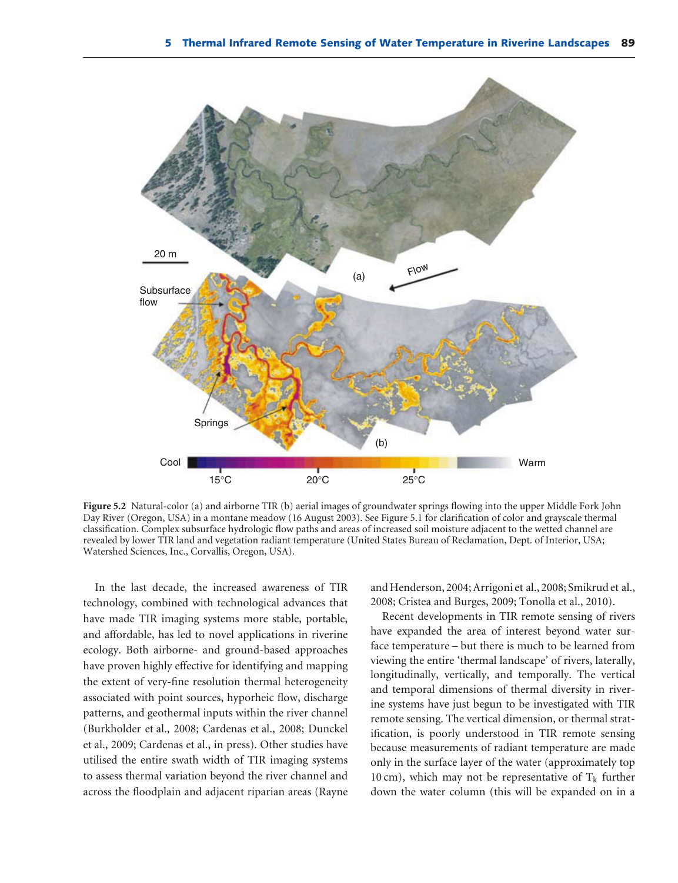

**Figure 5.2** Natural-color (a) and airborne TIR (b) aerial images of groundwater springs flowing into the upper Middle Fork John Day River (Oregon, USA) in a montane meadow (16 August 2003). See Figure 5.1 for clarification of color and grayscale thermal classification. Complex subsurface hydrologic flow paths and areas of increased soil moisture adjacent to the wetted channel are revealed by lower TIR land and vegetation radiant temperature (United States Bureau of Reclamation, Dept. of Interior, USA; Watershed Sciences, Inc., Corvallis, Oregon, USA).

In the last decade, the increased awareness of TIR technology, combined with technological advances that have made TIR imaging systems more stable, portable, and affordable, has led to novel applications in riverine ecology. Both airborne- and ground-based approaches have proven highly effective for identifying and mapping the extent of very-fine resolution thermal heterogeneity associated with point sources, hyporheic flow, discharge patterns, and geothermal inputs within the river channel (Burkholder et al., 2008; Cardenas et al., 2008; Dunckel et al., 2009; Cardenas et al., in press). Other studies have utilised the entire swath width of TIR imaging systems to assess thermal variation beyond the river channel and across the floodplain and adjacent riparian areas (Rayne and Henderson, 2004; Arrigoni et al., 2008; Smikrud et al., 2008; Cristea and Burges, 2009; Tonolla et al., 2010).

Recent developments in TIR remote sensing of rivers have expanded the area of interest beyond water surface temperature – but there is much to be learned from viewing the entire 'thermal landscape' of rivers, laterally, longitudinally, vertically, and temporally. The vertical and temporal dimensions of thermal diversity in riverine systems have just begun to be investigated with TIR remote sensing. The vertical dimension, or thermal stratification, is poorly understood in TIR remote sensing because measurements of radiant temperature are made only in the surface layer of the water (approximately top 10 cm), which may not be representative of  $T_k$  further down the water column (this will be expanded on in a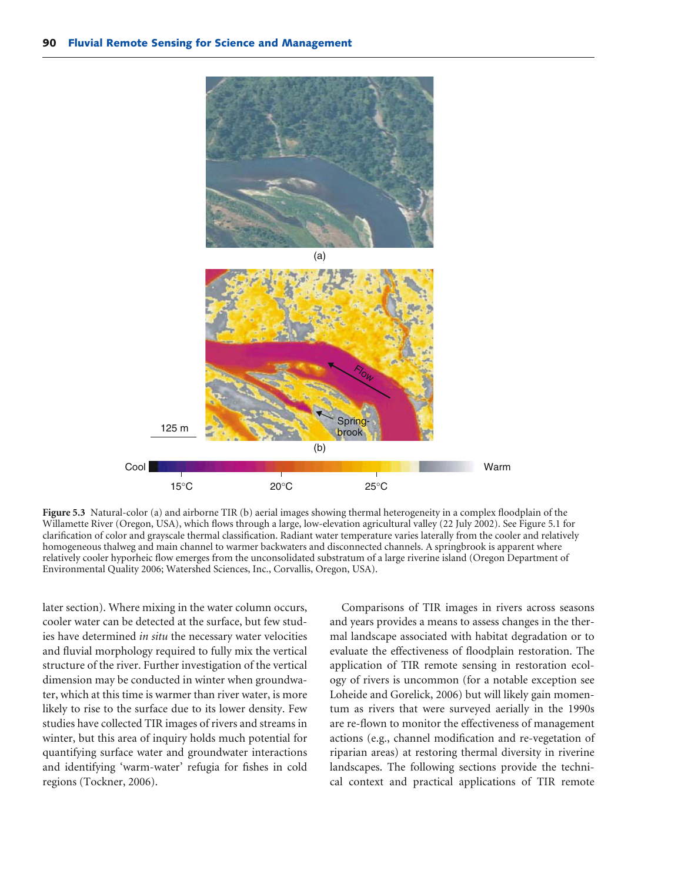

(a)



**Figure 5.3** Natural-color (a) and airborne TIR (b) aerial images showing thermal heterogeneity in a complex floodplain of the Willamette River (Oregon, USA), which flows through a large, low-elevation agricultural valley (22 July 2002). See Figure 5.1 for clarification of color and grayscale thermal classification. Radiant water temperature varies laterally from the cooler and relatively homogeneous thalweg and main channel to warmer backwaters and disconnected channels. A springbrook is apparent where relatively cooler hyporheic flow emerges from the unconsolidated substratum of a large riverine island (Oregon Department of Environmental Quality 2006; Watershed Sciences, Inc., Corvallis, Oregon, USA).

later section). Where mixing in the water column occurs, cooler water can be detected at the surface, but few studies have determined *in situ* the necessary water velocities and fluvial morphology required to fully mix the vertical structure of the river. Further investigation of the vertical dimension may be conducted in winter when groundwater, which at this time is warmer than river water, is more likely to rise to the surface due to its lower density. Few studies have collected TIR images of rivers and streams in winter, but this area of inquiry holds much potential for quantifying surface water and groundwater interactions and identifying 'warm-water' refugia for fishes in cold regions (Tockner, 2006).

Comparisons of TIR images in rivers across seasons and years provides a means to assess changes in the thermal landscape associated with habitat degradation or to evaluate the effectiveness of floodplain restoration. The application of TIR remote sensing in restoration ecology of rivers is uncommon (for a notable exception see Loheide and Gorelick, 2006) but will likely gain momentum as rivers that were surveyed aerially in the 1990s are re-flown to monitor the effectiveness of management actions (e.g., channel modification and re-vegetation of riparian areas) at restoring thermal diversity in riverine landscapes. The following sections provide the technical context and practical applications of TIR remote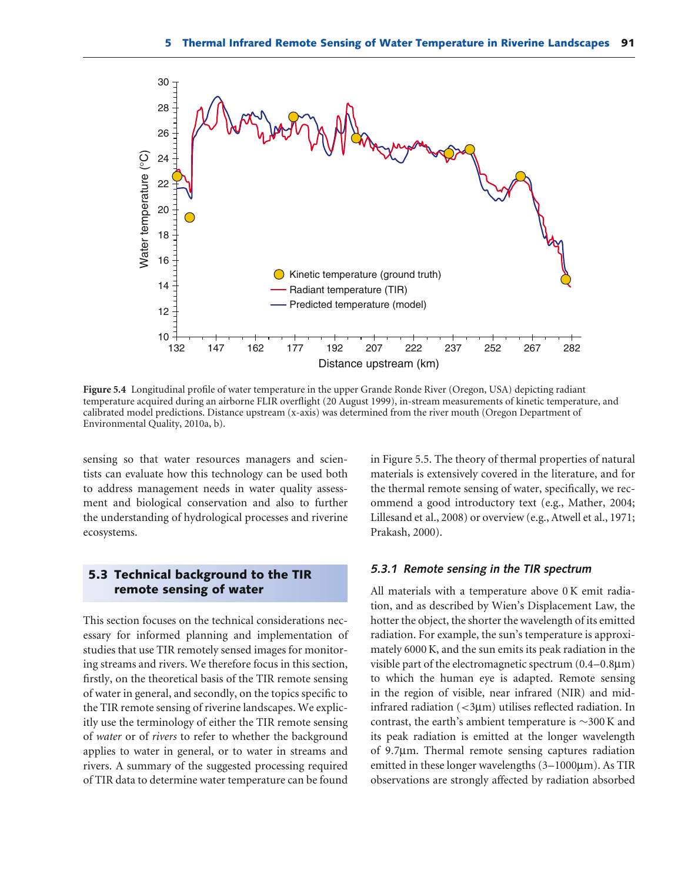

**Figure 5.4** Longitudinal profile of water temperature in the upper Grande Ronde River (Oregon, USA) depicting radiant temperature acquired during an airborne FLIR overflight (20 August 1999), in-stream measurements of kinetic temperature, and calibrated model predictions. Distance upstream (x-axis) was determined from the river mouth (Oregon Department of Environmental Quality, 2010a, b).

sensing so that water resources managers and scientists can evaluate how this technology can be used both to address management needs in water quality assessment and biological conservation and also to further the understanding of hydrological processes and riverine ecosystems.

# **5.3 Technical background to the TIR remote sensing of water**

This section focuses on the technical considerations necessary for informed planning and implementation of studies that use TIR remotely sensed images for monitoring streams and rivers. We therefore focus in this section, firstly, on the theoretical basis of the TIR remote sensing of water in general, and secondly, on the topics specific to the TIR remote sensing of riverine landscapes. We explicitly use the terminology of either the TIR remote sensing of *water* or of *rivers* to refer to whether the background applies to water in general, or to water in streams and rivers. A summary of the suggested processing required of TIR data to determine water temperature can be found in Figure 5.5. The theory of thermal properties of natural materials is extensively covered in the literature, and for the thermal remote sensing of water, specifically, we recommend a good introductory text (e.g., Mather, 2004; Lillesand et al., 2008) or overview (e.g., Atwell et al., 1971; Prakash, 2000).

#### **5.3.1 Remote sensing in the TIR spectrum**

All materials with a temperature above 0 K emit radiation, and as described by Wien's Displacement Law, the hotter the object, the shorter the wavelength of its emitted radiation. For example, the sun's temperature is approximately 6000 K, and the sun emits its peak radiation in the visible part of the electromagnetic spectrum (0.4–0.8μm) to which the human eye is adapted. Remote sensing in the region of visible, near infrared (NIR) and midinfrared radiation (<3μm) utilises reflected radiation. In contrast, the earth's ambient temperature is ∼300 K and its peak radiation is emitted at the longer wavelength of 9.7μm. Thermal remote sensing captures radiation emitted in these longer wavelengths (3–1000μm). As TIR observations are strongly affected by radiation absorbed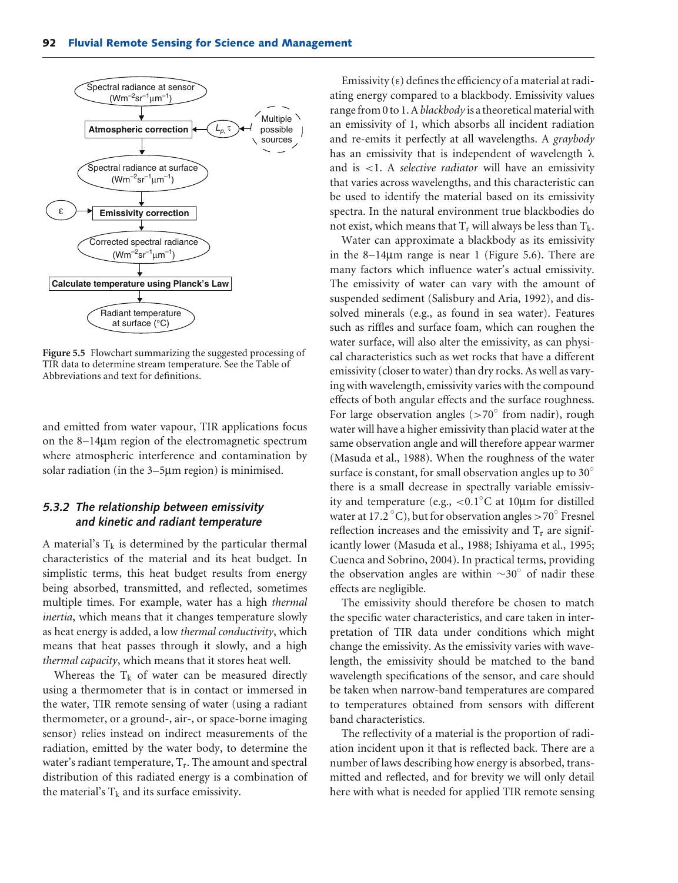

**Figure 5.5** Flowchart summarizing the suggested processing of TIR data to determine stream temperature. See the Table of Abbreviations and text for definitions.

and emitted from water vapour, TIR applications focus on the 8–14μm region of the electromagnetic spectrum where atmospheric interference and contamination by solar radiation (in the 3–5μm region) is minimised.

# **5.3.2 The relationship between emissivity and kinetic and radiant temperature**

A material's  $T_k$  is determined by the particular thermal characteristics of the material and its heat budget. In simplistic terms, this heat budget results from energy being absorbed, transmitted, and reflected, sometimes multiple times. For example, water has a high *thermal inertia*, which means that it changes temperature slowly as heat energy is added, a low *thermal conductivity*, which means that heat passes through it slowly, and a high *thermal capacity*, which means that it stores heat well.

Whereas the  $T_k$  of water can be measured directly using a thermometer that is in contact or immersed in the water, TIR remote sensing of water (using a radiant thermometer, or a ground-, air-, or space-borne imaging sensor) relies instead on indirect measurements of the radiation, emitted by the water body, to determine the water's radiant temperature,  $T_r$ . The amount and spectral distribution of this radiated energy is a combination of the material's  $T_k$  and its surface emissivity.

Emissivity  $(\varepsilon)$  defines the efficiency of a material at radiating energy compared to a blackbody. Emissivity values rangefrom 0 to 1. A*blackbody* is a theoretical material with an emissivity of 1, which absorbs all incident radiation and re-emits it perfectly at all wavelengths. A *graybody* has an emissivity that is independent of wavelength λ and is <1. A *selective radiator* will have an emissivity that varies across wavelengths, and this characteristic can be used to identify the material based on its emissivity spectra. In the natural environment true blackbodies do not exist, which means that  $T_r$  will always be less than  $T_k$ .

Water can approximate a blackbody as its emissivity in the 8–14μm range is near 1 (Figure 5.6). There are many factors which influence water's actual emissivity. The emissivity of water can vary with the amount of suspended sediment (Salisbury and Aria, 1992), and dissolved minerals (e.g., as found in sea water). Features such as riffles and surface foam, which can roughen the water surface, will also alter the emissivity, as can physical characteristics such as wet rocks that have a different emissivity (closer to water) than dry rocks. As well as varying with wavelength, emissivity varies with the compound effects of both angular effects and the surface roughness. For large observation angles ( $>70^\circ$  from nadir), rough water will have a higher emissivity than placid water at the same observation angle and will therefore appear warmer (Masuda et al., 1988). When the roughness of the water surface is constant, for small observation angles up to 30° there is a small decrease in spectrally variable emissivity and temperature (e.g., <0.1◦ C at 10μm for distilled water at 17.2  $^{\circ}$ C), but for observation angles  $>$  70 $^{\circ}$  Fresnel reflection increases and the emissivity and  $T_r$  are significantly lower (Masuda et al., 1988; Ishiyama et al., 1995; Cuenca and Sobrino, 2004). In practical terms, providing the observation angles are within ∼30◦ of nadir these effects are negligible.

The emissivity should therefore be chosen to match the specific water characteristics, and care taken in interpretation of TIR data under conditions which might change the emissivity. As the emissivity varies with wavelength, the emissivity should be matched to the band wavelength specifications of the sensor, and care should be taken when narrow-band temperatures are compared to temperatures obtained from sensors with different band characteristics.

The reflectivity of a material is the proportion of radiation incident upon it that is reflected back. There are a number of laws describing how energy is absorbed, transmitted and reflected, and for brevity we will only detail here with what is needed for applied TIR remote sensing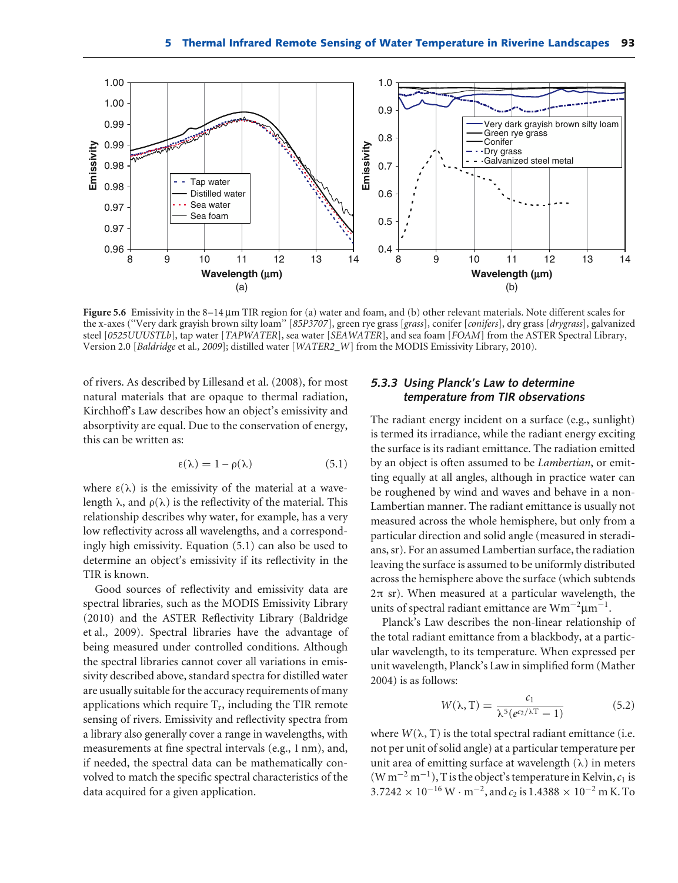

**Figure 5.6** Emissivity in the 8–14 μm TIR region for (a) water and foam, and (b) other relevant materials. Note different scales for the x-axes (''Very dark grayish brown silty loam'' [*85P3707*], green rye grass [*grass*], conifer [*conifers*], dry grass [*drygrass*], galvanized steel [*0525UUUSTLb*], tap water [*TAPWATER*], sea water [*SEAWATER*], and sea foam [*FOAM*] from the ASTER Spectral Library, Version 2.0 [*Baldridge* et al*., 2009*]; distilled water [*WATER2\_W*] from the MODIS Emissivity Library, 2010).

of rivers. As described by Lillesand et al. (2008), for most natural materials that are opaque to thermal radiation, Kirchhoff's Law describes how an object's emissivity and absorptivity are equal. Due to the conservation of energy, this can be written as:

$$
\epsilon(\lambda) = 1 - \rho(\lambda) \tag{5.1}
$$

where  $\epsilon(\lambda)$  is the emissivity of the material at a wavelength  $\lambda$ , and  $\rho(\lambda)$  is the reflectivity of the material. This relationship describes why water, for example, has a very low reflectivity across all wavelengths, and a correspondingly high emissivity. Equation (5.1) can also be used to determine an object's emissivity if its reflectivity in the TIR is known.

Good sources of reflectivity and emissivity data are spectral libraries, such as the MODIS Emissivity Library (2010) and the ASTER Reflectivity Library (Baldridge et al., 2009). Spectral libraries have the advantage of being measured under controlled conditions. Although the spectral libraries cannot cover all variations in emissivity described above, standard spectra for distilled water are usually suitable for the accuracy requirements of many applications which require  $T_r$ , including the TIR remote sensing of rivers. Emissivity and reflectivity spectra from a library also generally cover a range in wavelengths, with measurements at fine spectral intervals (e.g., 1 nm), and, if needed, the spectral data can be mathematically convolved to match the specific spectral characteristics of the data acquired for a given application.

# **5.3.3 Using Planck's Law to determine temperature from TIR observations**

The radiant energy incident on a surface (e.g., sunlight) is termed its irradiance, while the radiant energy exciting the surface is its radiant emittance. The radiation emitted by an object is often assumed to be *Lambertian*, or emitting equally at all angles, although in practice water can be roughened by wind and waves and behave in a non-Lambertian manner. The radiant emittance is usually not measured across the whole hemisphere, but only from a particular direction and solid angle (measured in steradians, sr). For an assumed Lambertian surface, the radiation leaving the surface is assumed to be uniformly distributed across the hemisphere above the surface (which subtends  $2\pi$  sr). When measured at a particular wavelength, the units of spectral radiant emittance are  $Wm^{-2} \mu m^{-1}$ .

Planck's Law describes the non-linear relationship of the total radiant emittance from a blackbody, at a particular wavelength, to its temperature. When expressed per unit wavelength, Planck's Law in simplified form (Mather 2004) is as follows:

$$
W(\lambda, T) = \frac{c_1}{\lambda^5 (e^{c_2/\lambda T} - 1)}\tag{5.2}
$$

where  $W(\lambda, T)$  is the total spectral radiant emittance (i.e. not per unit of solid angle) at a particular temperature per unit area of emitting surface at wavelength  $(\lambda)$  in meters (W m<sup>-2</sup> m<sup>-1</sup>), T is the object's temperature in Kelvin,  $c_1$  is  $3.7242 \times 10^{-16} \,\mathrm{W} \cdot \mathrm{m}^{-2}$ , and  $c_2$  is 1.4388  $\times 10^{-2} \,\mathrm{m K}$ . To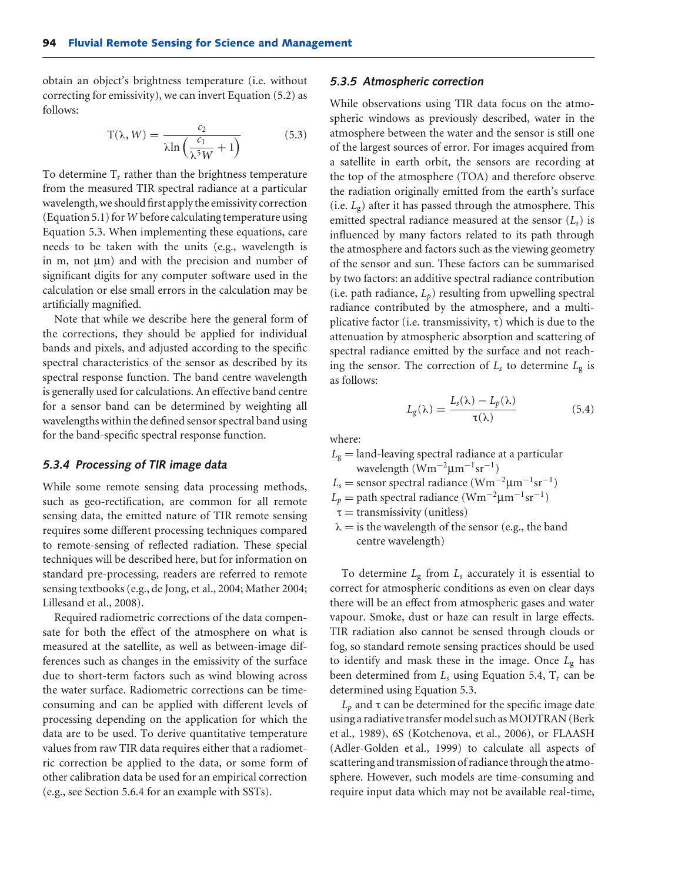obtain an object's brightness temperature (i.e. without correcting for emissivity), we can invert Equation (5.2) as follows:

$$
T(\lambda, W) = \frac{c_2}{\lambda \ln\left(\frac{c_1}{\lambda^5 W} + 1\right)}\tag{5.3}
$$

To determine  $T_r$  rather than the brightness temperature from the measured TIR spectral radiance at a particular wavelength, we should first apply the emissivity correction (Equation 5.1) for *W* before calculating temperature using Equation 5.3. When implementing these equations, care needs to be taken with the units (e.g., wavelength is in m, not μm) and with the precision and number of significant digits for any computer software used in the calculation or else small errors in the calculation may be artificially magnified.

Note that while we describe here the general form of the corrections, they should be applied for individual bands and pixels, and adjusted according to the specific spectral characteristics of the sensor as described by its spectral response function. The band centre wavelength is generally used for calculations. An effective band centre for a sensor band can be determined by weighting all wavelengths within the defined sensor spectral band using for the band-specific spectral response function.

#### **5.3.4 Processing of TIR image data**

While some remote sensing data processing methods, such as geo-rectification, are common for all remote sensing data, the emitted nature of TIR remote sensing requires some different processing techniques compared to remote-sensing of reflected radiation. These special techniques will be described here, but for information on standard pre-processing, readers are referred to remote sensing textbooks (e.g., de Jong, et al., 2004; Mather 2004; Lillesand et al., 2008).

Required radiometric corrections of the data compensate for both the effect of the atmosphere on what is measured at the satellite, as well as between-image differences such as changes in the emissivity of the surface due to short-term factors such as wind blowing across the water surface. Radiometric corrections can be timeconsuming and can be applied with different levels of processing depending on the application for which the data are to be used. To derive quantitative temperature values from raw TIR data requires either that a radiometric correction be applied to the data, or some form of other calibration data be used for an empirical correction (e.g., see Section 5.6.4 for an example with SSTs).

#### **5.3.5 Atmospheric correction**

While observations using TIR data focus on the atmospheric windows as previously described, water in the atmosphere between the water and the sensor is still one of the largest sources of error. For images acquired from a satellite in earth orbit, the sensors are recording at the top of the atmosphere (TOA) and therefore observe the radiation originally emitted from the earth's surface (i.e. *L*g) after it has passed through the atmosphere. This emitted spectral radiance measured at the sensor  $(L<sub>s</sub>)$  is influenced by many factors related to its path through the atmosphere and factors such as the viewing geometry of the sensor and sun. These factors can be summarised by two factors: an additive spectral radiance contribution (i.e. path radiance,  $L_p$ ) resulting from upwelling spectral radiance contributed by the atmosphere, and a multiplicative factor (i.e. transmissivity,  $\tau$ ) which is due to the attenuation by atmospheric absorption and scattering of spectral radiance emitted by the surface and not reaching the sensor. The correction of *Ls* to determine *L*<sup>g</sup> is as follows:

$$
L_g(\lambda) = \frac{L_s(\lambda) - L_p(\lambda)}{\tau(\lambda)}
$$
\n(5.4)

where:

 $L<sub>g</sub>$  = land-leaving spectral radiance at a particular wavelength  $(Wm^{-2}\mu m^{-1}sr^{-1})$ 

 $L<sub>s</sub>$  = sensor spectral radiance (Wm<sup>-2</sup>µm<sup>-1</sup>sr<sup>-1</sup>)

 $L_p$  = path spectral radiance (Wm<sup>-2</sup>µm<sup>-1</sup>sr<sup>-1</sup>)

 $\tau$  = transmissivity (unitless)

 $\lambda$  = is the wavelength of the sensor (e.g., the band centre wavelength)

To determine *L*<sup>g</sup> from *Ls* accurately it is essential to correct for atmospheric conditions as even on clear days there will be an effect from atmospheric gases and water vapour. Smoke, dust or haze can result in large effects. TIR radiation also cannot be sensed through clouds or fog, so standard remote sensing practices should be used to identify and mask these in the image. Once *L*<sup>g</sup> has been determined from  $L_s$  using Equation 5.4,  $T_r$  can be determined using Equation 5.3.

 $L_p$  and τ can be determined for the specific image date using a radiative transfer model such as MODTRAN (Berk et al., 1989), 6S (Kotchenova, et al., 2006), or FLAASH (Adler-Golden et al., 1999) to calculate all aspects of scattering and transmission of radiance through the atmosphere. However, such models are time-consuming and require input data which may not be available real-time,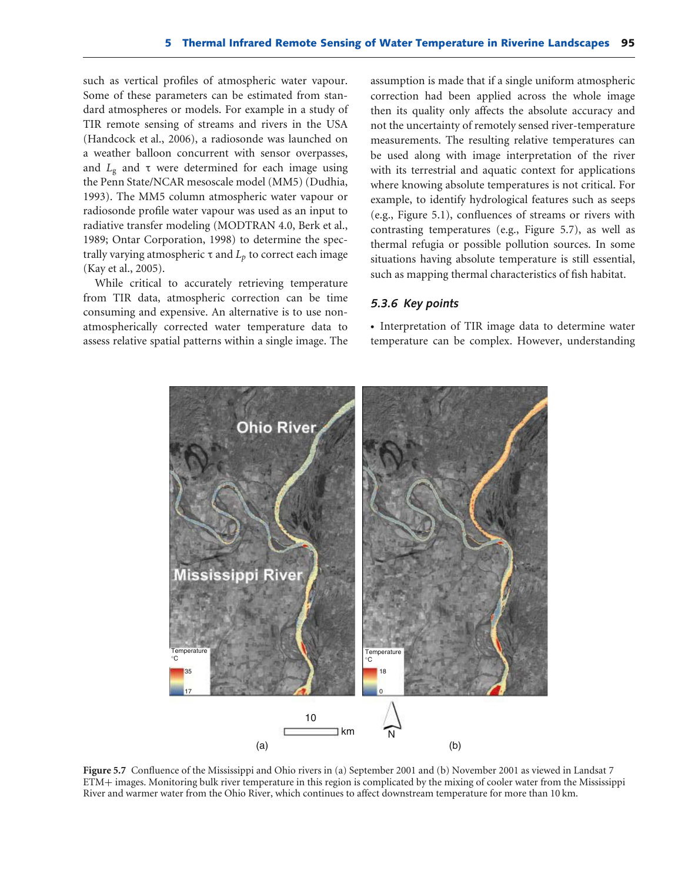such as vertical profiles of atmospheric water vapour. Some of these parameters can be estimated from standard atmospheres or models. For example in a study of TIR remote sensing of streams and rivers in the USA (Handcock et al., 2006), a radiosonde was launched on a weather balloon concurrent with sensor overpasses, and *L*<sup>g</sup> and τ were determined for each image using the Penn State/NCAR mesoscale model (MM5) (Dudhia, 1993). The MM5 column atmospheric water vapour or radiosonde profile water vapour was used as an input to radiative transfer modeling (MODTRAN 4.0, Berk et al., 1989; Ontar Corporation, 1998) to determine the spectrally varying atmospheric τ and  $L_p$  to correct each image (Kay et al., 2005).

While critical to accurately retrieving temperature from TIR data, atmospheric correction can be time consuming and expensive. An alternative is to use nonatmospherically corrected water temperature data to assess relative spatial patterns within a single image. The assumption is made that if a single uniform atmospheric correction had been applied across the whole image then its quality only affects the absolute accuracy and not the uncertainty of remotely sensed river-temperature measurements. The resulting relative temperatures can be used along with image interpretation of the river with its terrestrial and aquatic context for applications where knowing absolute temperatures is not critical. For example, to identify hydrological features such as seeps (e.g., Figure 5.1), confluences of streams or rivers with contrasting temperatures (e.g., Figure 5.7), as well as thermal refugia or possible pollution sources. In some situations having absolute temperature is still essential, such as mapping thermal characteristics of fish habitat.

# **5.3.6 Key points**

• Interpretation of TIR image data to determine water temperature can be complex. However, understanding



**Figure 5.7** Confluence of the Mississippi and Ohio rivers in (a) September 2001 and (b) November 2001 as viewed in Landsat 7 ETM+ images. Monitoring bulk river temperature in this region is complicated by the mixing of cooler water from the Mississippi River and warmer water from the Ohio River, which continues to affect downstream temperature for more than 10 km.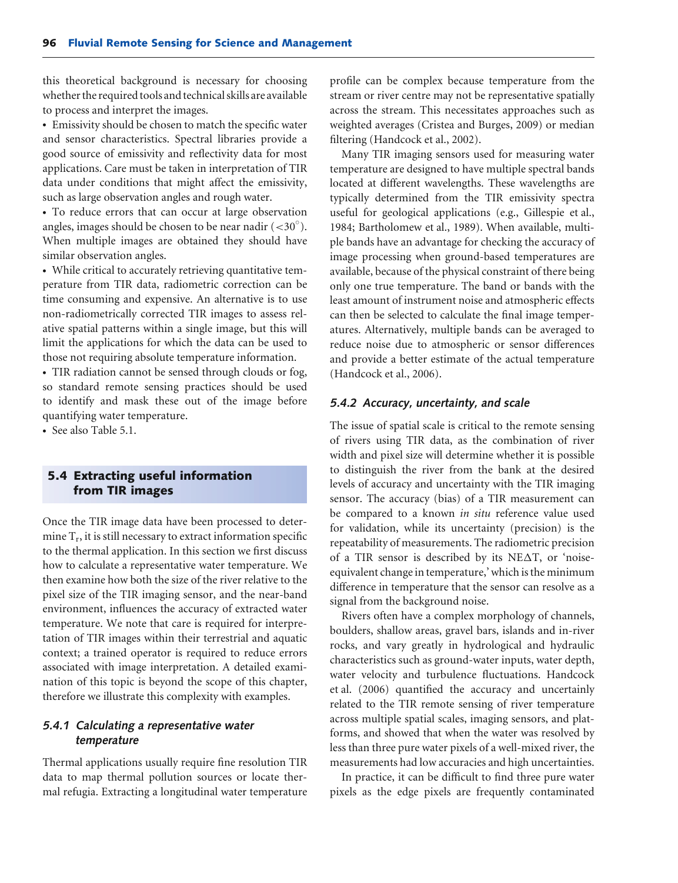this theoretical background is necessary for choosing whether the required tools and technical skills are available to process and interpret the images.

• Emissivity should be chosen to match the specific water and sensor characteristics. Spectral libraries provide a good source of emissivity and reflectivity data for most applications. Care must be taken in interpretation of TIR data under conditions that might affect the emissivity, such as large observation angles and rough water.

• To reduce errors that can occur at large observation angles, images should be chosen to be near nadir ( ${<}30^{\circ}$ ). When multiple images are obtained they should have similar observation angles.

• While critical to accurately retrieving quantitative temperature from TIR data, radiometric correction can be time consuming and expensive. An alternative is to use non-radiometrically corrected TIR images to assess relative spatial patterns within a single image, but this will limit the applications for which the data can be used to those not requiring absolute temperature information.

• TIR radiation cannot be sensed through clouds or fog, so standard remote sensing practices should be used to identify and mask these out of the image before quantifying water temperature.

• See also Table 5.1.

# **5.4 Extracting useful information from TIR images**

Once the TIR image data have been processed to determine  $T_r$ , it is still necessary to extract information specific to the thermal application. In this section we first discuss how to calculate a representative water temperature. We then examine how both the size of the river relative to the pixel size of the TIR imaging sensor, and the near-band environment, influences the accuracy of extracted water temperature. We note that care is required for interpretation of TIR images within their terrestrial and aquatic context; a trained operator is required to reduce errors associated with image interpretation. A detailed examination of this topic is beyond the scope of this chapter, therefore we illustrate this complexity with examples.

# **5.4.1 Calculating <sup>a</sup> representative water temperature**

Thermal applications usually require fine resolution TIR data to map thermal pollution sources or locate thermal refugia. Extracting a longitudinal water temperature

profile can be complex because temperature from the stream or river centre may not be representative spatially across the stream. This necessitates approaches such as weighted averages (Cristea and Burges, 2009) or median filtering (Handcock et al., 2002).

Many TIR imaging sensors used for measuring water temperature are designed to have multiple spectral bands located at different wavelengths. These wavelengths are typically determined from the TIR emissivity spectra useful for geological applications (e.g., Gillespie et al., 1984; Bartholomew et al., 1989). When available, multiple bands have an advantage for checking the accuracy of image processing when ground-based temperatures are available, because of the physical constraint of there being only one true temperature. The band or bands with the least amount of instrument noise and atmospheric effects can then be selected to calculate the final image temperatures. Alternatively, multiple bands can be averaged to reduce noise due to atmospheric or sensor differences and provide a better estimate of the actual temperature (Handcock et al., 2006).

#### **5.4.2 Accuracy, uncertainty, and scale**

The issue of spatial scale is critical to the remote sensing of rivers using TIR data, as the combination of river width and pixel size will determine whether it is possible to distinguish the river from the bank at the desired levels of accuracy and uncertainty with the TIR imaging sensor. The accuracy (bias) of a TIR measurement can be compared to a known *in situ* reference value used for validation, while its uncertainty (precision) is the repeatability of measurements. The radiometric precision of a TIR sensor is described by its NEΔT, or 'noiseequivalent change in temperature,' which is the minimum difference in temperature that the sensor can resolve as a signal from the background noise.

Rivers often have a complex morphology of channels, boulders, shallow areas, gravel bars, islands and in-river rocks, and vary greatly in hydrological and hydraulic characteristics such as ground-water inputs, water depth, water velocity and turbulence fluctuations. Handcock et al. (2006) quantified the accuracy and uncertainly related to the TIR remote sensing of river temperature across multiple spatial scales, imaging sensors, and platforms, and showed that when the water was resolved by less than three pure water pixels of a well-mixed river, the measurements had low accuracies and high uncertainties.

In practice, it can be difficult to find three pure water pixels as the edge pixels are frequently contaminated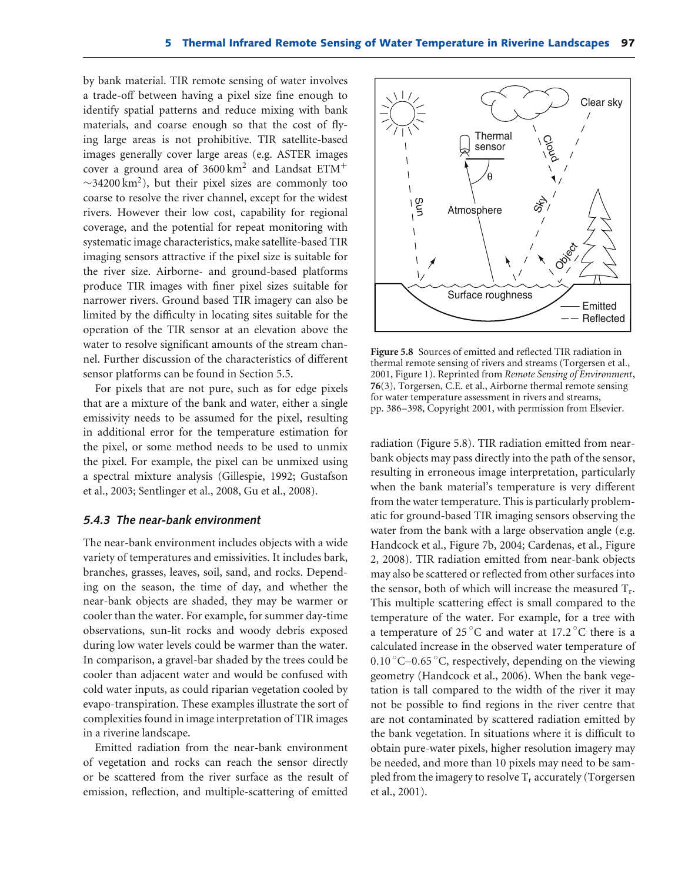by bank material. TIR remote sensing of water involves a trade-off between having a pixel size fine enough to identify spatial patterns and reduce mixing with bank materials, and coarse enough so that the cost of flying large areas is not prohibitive. TIR satellite-based images generally cover large areas (e.g. ASTER images cover a ground area of  $3600 \text{ km}^2$  and Landsat ETM<sup>+</sup>  $\sim$ 34200 km<sup>2</sup>), but their pixel sizes are commonly too coarse to resolve the river channel, except for the widest rivers. However their low cost, capability for regional coverage, and the potential for repeat monitoring with systematic image characteristics, make satellite-based TIR imaging sensors attractive if the pixel size is suitable for the river size. Airborne- and ground-based platforms produce TIR images with finer pixel sizes suitable for narrower rivers. Ground based TIR imagery can also be limited by the difficulty in locating sites suitable for the operation of the TIR sensor at an elevation above the water to resolve significant amounts of the stream channel. Further discussion of the characteristics of different sensor platforms can be found in Section 5.5.

For pixels that are not pure, such as for edge pixels that are a mixture of the bank and water, either a single emissivity needs to be assumed for the pixel, resulting in additional error for the temperature estimation for the pixel, or some method needs to be used to unmix the pixel. For example, the pixel can be unmixed using a spectral mixture analysis (Gillespie, 1992; Gustafson et al., 2003; Sentlinger et al., 2008, Gu et al., 2008).

## **5.4.3 The near-bank environment**

The near-bank environment includes objects with a wide variety of temperatures and emissivities. It includes bark, branches, grasses, leaves, soil, sand, and rocks. Depending on the season, the time of day, and whether the near-bank objects are shaded, they may be warmer or cooler than the water. For example, for summer day-time observations, sun-lit rocks and woody debris exposed during low water levels could be warmer than the water. In comparison, a gravel-bar shaded by the trees could be cooler than adjacent water and would be confused with cold water inputs, as could riparian vegetation cooled by evapo-transpiration. These examples illustrate the sort of complexities found in image interpretation of TIR images in a riverine landscape.

Emitted radiation from the near-bank environment of vegetation and rocks can reach the sensor directly or be scattered from the river surface as the result of emission, reflection, and multiple-scattering of emitted



**Figure 5.8** Sources of emitted and reflected TIR radiation in thermal remote sensing of rivers and streams (Torgersen et al., 2001, Figure 1). Reprinted from *Remote Sensing of Environment*, **76**(3), Torgersen, C.E. et al., Airborne thermal remote sensing for water temperature assessment in rivers and streams, pp. 386–398, Copyright 2001, with permission from Elsevier.

radiation (Figure 5.8). TIR radiation emitted from nearbank objects may pass directly into the path of the sensor, resulting in erroneous image interpretation, particularly when the bank material's temperature is very different from the water temperature. This is particularly problematic for ground-based TIR imaging sensors observing the water from the bank with a large observation angle (e.g. Handcock et al., Figure 7b, 2004; Cardenas, et al., Figure 2, 2008). TIR radiation emitted from near-bank objects may also be scattered or reflected from other surfaces into the sensor, both of which will increase the measured  $T_r$ . This multiple scattering effect is small compared to the temperature of the water. For example, for a tree with a temperature of 25 $^{\circ}$ C and water at 17.2 $^{\circ}$ C there is a calculated increase in the observed water temperature of  $0.10\degree$ C $-0.65\degree$ C, respectively, depending on the viewing geometry (Handcock et al., 2006). When the bank vegetation is tall compared to the width of the river it may not be possible to find regions in the river centre that are not contaminated by scattered radiation emitted by the bank vegetation. In situations where it is difficult to obtain pure-water pixels, higher resolution imagery may be needed, and more than 10 pixels may need to be sampled from the imagery to resolve  $T_r$  accurately (Torgersen et al., 2001).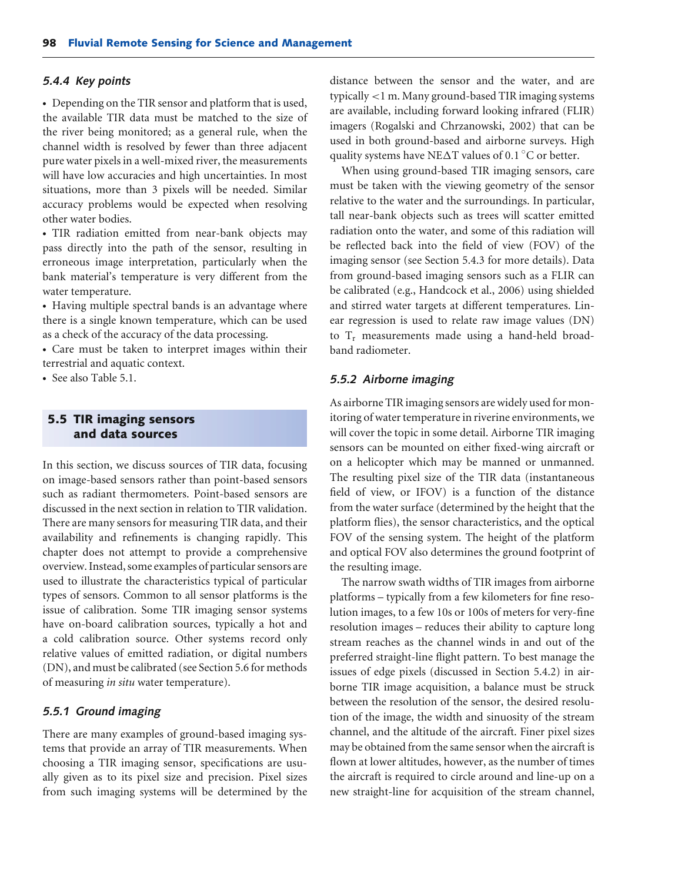# **5.4.4 Key points**

• Depending on the TIR sensor and platform that is used, the available TIR data must be matched to the size of the river being monitored; as a general rule, when the channel width is resolved by fewer than three adjacent pure water pixels in a well-mixed river, the measurements will have low accuracies and high uncertainties. In most situations, more than 3 pixels will be needed. Similar accuracy problems would be expected when resolving other water bodies.

• TIR radiation emitted from near-bank objects may pass directly into the path of the sensor, resulting in erroneous image interpretation, particularly when the bank material's temperature is very different from the water temperature.

• Having multiple spectral bands is an advantage where there is a single known temperature, which can be used as a check of the accuracy of the data processing.

• Care must be taken to interpret images within their terrestrial and aquatic context.

• See also Table 5.1.

# **5.5 TIR imaging sensors and data sources**

In this section, we discuss sources of TIR data, focusing on image-based sensors rather than point-based sensors such as radiant thermometers. Point-based sensors are discussed in the next section in relation to TIR validation. There are many sensors for measuring TIR data, and their availability and refinements is changing rapidly. This chapter does not attempt to provide a comprehensive overview. Instead, some examples of particular sensors are used to illustrate the characteristics typical of particular types of sensors. Common to all sensor platforms is the issue of calibration. Some TIR imaging sensor systems have on-board calibration sources, typically a hot and a cold calibration source. Other systems record only relative values of emitted radiation, or digital numbers (DN), and must be calibrated (see Section 5.6 for methods of measuring *in situ* water temperature).

## **5.5.1 Ground imaging**

There are many examples of ground-based imaging systems that provide an array of TIR measurements. When choosing a TIR imaging sensor, specifications are usually given as to its pixel size and precision. Pixel sizes from such imaging systems will be determined by the

distance between the sensor and the water, and are typically <1 m. Many ground-based TIR imaging systems are available, including forward looking infrared (FLIR) imagers (Rogalski and Chrzanowski, 2002) that can be used in both ground-based and airborne surveys. High quality systems have NE $\Delta\text{T}$  values of 0.1  $^\circ\text{C}$  or better.

When using ground-based TIR imaging sensors, care must be taken with the viewing geometry of the sensor relative to the water and the surroundings. In particular, tall near-bank objects such as trees will scatter emitted radiation onto the water, and some of this radiation will be reflected back into the field of view (FOV) of the imaging sensor (see Section 5.4.3 for more details). Data from ground-based imaging sensors such as a FLIR can be calibrated (e.g., Handcock et al., 2006) using shielded and stirred water targets at different temperatures. Linear regression is used to relate raw image values (DN) to  $T_r$  measurements made using a hand-held broadband radiometer.

#### **5.5.2 Airborne imaging**

As airborne TIR imaging sensors are widely used for monitoring of water temperature in riverine environments, we will cover the topic in some detail. Airborne TIR imaging sensors can be mounted on either fixed-wing aircraft or on a helicopter which may be manned or unmanned. The resulting pixel size of the TIR data (instantaneous field of view, or IFOV) is a function of the distance from the water surface (determined by the height that the platform flies), the sensor characteristics, and the optical FOV of the sensing system. The height of the platform and optical FOV also determines the ground footprint of the resulting image.

The narrow swath widths of TIR images from airborne platforms – typically from a few kilometers for fine resolution images, to a few 10s or 100s of meters for very-fine resolution images – reduces their ability to capture long stream reaches as the channel winds in and out of the preferred straight-line flight pattern. To best manage the issues of edge pixels (discussed in Section 5.4.2) in airborne TIR image acquisition, a balance must be struck between the resolution of the sensor, the desired resolution of the image, the width and sinuosity of the stream channel, and the altitude of the aircraft. Finer pixel sizes may be obtained from the same sensor when the aircraft is flown at lower altitudes, however, as the number of times the aircraft is required to circle around and line-up on a new straight-line for acquisition of the stream channel,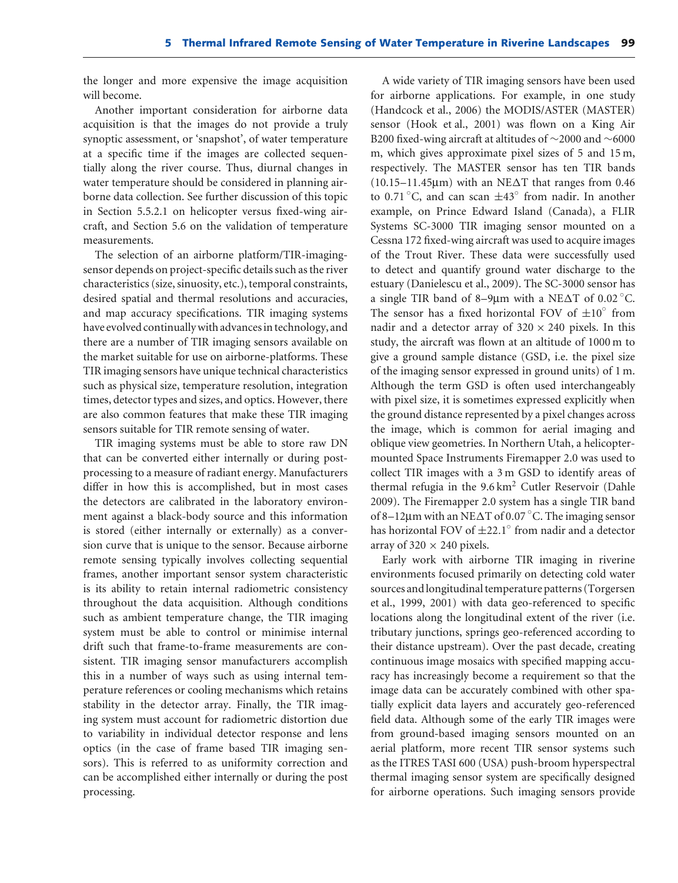the longer and more expensive the image acquisition will become.

Another important consideration for airborne data acquisition is that the images do not provide a truly synoptic assessment, or 'snapshot', of water temperature at a specific time if the images are collected sequentially along the river course. Thus, diurnal changes in water temperature should be considered in planning airborne data collection. See further discussion of this topic in Section 5.5.2.1 on helicopter versus fixed-wing aircraft, and Section 5.6 on the validation of temperature measurements.

The selection of an airborne platform/TIR-imagingsensor depends on project-specific details such as the river characteristics (size, sinuosity, etc.), temporal constraints, desired spatial and thermal resolutions and accuracies, and map accuracy specifications. TIR imaging systems have evolved continuallywith advancesin technology, and there are a number of TIR imaging sensors available on the market suitable for use on airborne-platforms. These TIR imaging sensors have unique technical characteristics such as physical size, temperature resolution, integration times, detector types and sizes, and optics. However, there are also common features that make these TIR imaging sensors suitable for TIR remote sensing of water.

TIR imaging systems must be able to store raw DN that can be converted either internally or during postprocessing to a measure of radiant energy. Manufacturers differ in how this is accomplished, but in most cases the detectors are calibrated in the laboratory environment against a black-body source and this information is stored (either internally or externally) as a conversion curve that is unique to the sensor. Because airborne remote sensing typically involves collecting sequential frames, another important sensor system characteristic is its ability to retain internal radiometric consistency throughout the data acquisition. Although conditions such as ambient temperature change, the TIR imaging system must be able to control or minimise internal drift such that frame-to-frame measurements are consistent. TIR imaging sensor manufacturers accomplish this in a number of ways such as using internal temperature references or cooling mechanisms which retains stability in the detector array. Finally, the TIR imaging system must account for radiometric distortion due to variability in individual detector response and lens optics (in the case of frame based TIR imaging sensors). This is referred to as uniformity correction and can be accomplished either internally or during the post processing.

A wide variety of TIR imaging sensors have been used for airborne applications. For example, in one study (Handcock et al., 2006) the MODIS/ASTER (MASTER) sensor (Hook et al., 2001) was flown on a King Air B200 fixed-wing aircraft at altitudes of ∼2000 and ∼6000 m, which gives approximate pixel sizes of 5 and 15 m, respectively. The MASTER sensor has ten TIR bands  $(10.15-11.45\mu m)$  with an NE $\Delta$ T that ranges from 0.46 to  $0.71^{\circ}$ C, and can scan  $\pm 43^{\circ}$  from nadir. In another example, on Prince Edward Island (Canada), a FLIR Systems SC-3000 TIR imaging sensor mounted on a Cessna 172 fixed-wing aircraft was used to acquire images of the Trout River. These data were successfully used to detect and quantify ground water discharge to the estuary (Danielescu et al., 2009). The SC-3000 sensor has a single TIR band of 8–9 $\mu$ m with a NE $\Delta$ T of 0.02  $^{\circ}$ C. The sensor has a fixed horizontal FOV of  $\pm 10^\circ$  from nadir and a detector array of  $320 \times 240$  pixels. In this study, the aircraft was flown at an altitude of 1000 m to give a ground sample distance (GSD, i.e. the pixel size of the imaging sensor expressed in ground units) of 1 m. Although the term GSD is often used interchangeably with pixel size, it is sometimes expressed explicitly when the ground distance represented by a pixel changes across the image, which is common for aerial imaging and oblique view geometries. In Northern Utah, a helicoptermounted Space Instruments Firemapper 2.0 was used to collect TIR images with a 3 m GSD to identify areas of thermal refugia in the 9.6 km<sup>2</sup> Cutler Reservoir (Dahle 2009). The Firemapper 2.0 system has a single TIR band of 8–12 $\mu$ m with an NE $\Delta$ T of 0.07 °C. The imaging sensor has horizontal FOV of  $\pm$ 22.1 $\degree$  from nadir and a detector array of  $320 \times 240$  pixels.

Early work with airborne TIR imaging in riverine environments focused primarily on detecting cold water sources and longitudinal temperature patterns (Torgersen et al., 1999, 2001) with data geo-referenced to specific locations along the longitudinal extent of the river (i.e. tributary junctions, springs geo-referenced according to their distance upstream). Over the past decade, creating continuous image mosaics with specified mapping accuracy has increasingly become a requirement so that the image data can be accurately combined with other spatially explicit data layers and accurately geo-referenced field data. Although some of the early TIR images were from ground-based imaging sensors mounted on an aerial platform, more recent TIR sensor systems such as the ITRES TASI 600 (USA) push-broom hyperspectral thermal imaging sensor system are specifically designed for airborne operations. Such imaging sensors provide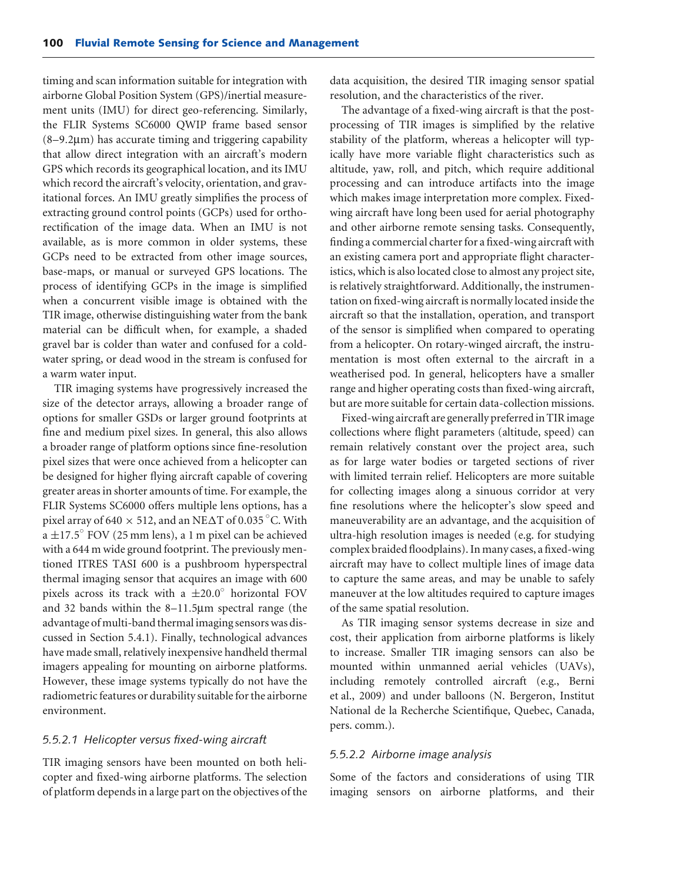timing and scan information suitable for integration with airborne Global Position System (GPS)/inertial measurement units (IMU) for direct geo-referencing. Similarly, the FLIR Systems SC6000 QWIP frame based sensor (8–9.2μm) has accurate timing and triggering capability that allow direct integration with an aircraft's modern GPS which records its geographical location, and its IMU which record the aircraft's velocity, orientation, and gravitational forces. An IMU greatly simplifies the process of extracting ground control points (GCPs) used for orthorectification of the image data. When an IMU is not available, as is more common in older systems, these GCPs need to be extracted from other image sources, base-maps, or manual or surveyed GPS locations. The process of identifying GCPs in the image is simplified when a concurrent visible image is obtained with the TIR image, otherwise distinguishing water from the bank material can be difficult when, for example, a shaded gravel bar is colder than water and confused for a coldwater spring, or dead wood in the stream is confused for a warm water input.

TIR imaging systems have progressively increased the size of the detector arrays, allowing a broader range of options for smaller GSDs or larger ground footprints at fine and medium pixel sizes. In general, this also allows a broader range of platform options since fine-resolution pixel sizes that were once achieved from a helicopter can be designed for higher flying aircraft capable of covering greater areas in shorter amounts of time. For example, the FLIR Systems SC6000 offers multiple lens options, has a pixel array of 640  $\times$  512, and an NEΔT of 0.035  $^{\circ}$ C. With  $a \pm 17.5^\circ$  FOV (25 mm lens), a 1 m pixel can be achieved with a 644 m wide ground footprint. The previously mentioned ITRES TASI 600 is a pushbroom hyperspectral thermal imaging sensor that acquires an image with 600 pixels across its track with a  $\pm 20.0^\circ$  horizontal FOV and 32 bands within the 8–11.5μm spectral range (the advantage of multi-band thermal imaging sensors was discussed in Section 5.4.1). Finally, technological advances have made small, relatively inexpensive handheld thermal imagers appealing for mounting on airborne platforms. However, these image systems typically do not have the radiometric features or durability suitable for the airborne environment.

# *5.5.2.1 Helicopter versus fixed-wing aircraft*

TIR imaging sensors have been mounted on both helicopter and fixed-wing airborne platforms. The selection of platform depends in a large part on the objectives of the data acquisition, the desired TIR imaging sensor spatial resolution, and the characteristics of the river.

The advantage of a fixed-wing aircraft is that the postprocessing of TIR images is simplified by the relative stability of the platform, whereas a helicopter will typically have more variable flight characteristics such as altitude, yaw, roll, and pitch, which require additional processing and can introduce artifacts into the image which makes image interpretation more complex. Fixedwing aircraft have long been used for aerial photography and other airborne remote sensing tasks. Consequently, finding a commercial charter for a fixed-wing aircraft with an existing camera port and appropriate flight characteristics, which is also located close to almost any project site, is relatively straightforward. Additionally, the instrumentation on fixed-wing aircraft is normally located inside the aircraft so that the installation, operation, and transport of the sensor is simplified when compared to operating from a helicopter. On rotary-winged aircraft, the instrumentation is most often external to the aircraft in a weatherised pod. In general, helicopters have a smaller range and higher operating costs than fixed-wing aircraft, but are more suitable for certain data-collection missions.

Fixed-wing aircraft are generally preferred in TIR image collections where flight parameters (altitude, speed) can remain relatively constant over the project area, such as for large water bodies or targeted sections of river with limited terrain relief. Helicopters are more suitable for collecting images along a sinuous corridor at very fine resolutions where the helicopter's slow speed and maneuverability are an advantage, and the acquisition of ultra-high resolution images is needed (e.g. for studying complex braided floodplains). In many cases, a fixed-wing aircraft may have to collect multiple lines of image data to capture the same areas, and may be unable to safely maneuver at the low altitudes required to capture images of the same spatial resolution.

As TIR imaging sensor systems decrease in size and cost, their application from airborne platforms is likely to increase. Smaller TIR imaging sensors can also be mounted within unmanned aerial vehicles (UAVs), including remotely controlled aircraft (e.g., Berni et al., 2009) and under balloons (N. Bergeron, Institut National de la Recherche Scientifique, Quebec, Canada, pers. comm.).

#### *5.5.2.2 Airborne image analysis*

Some of the factors and considerations of using TIR imaging sensors on airborne platforms, and their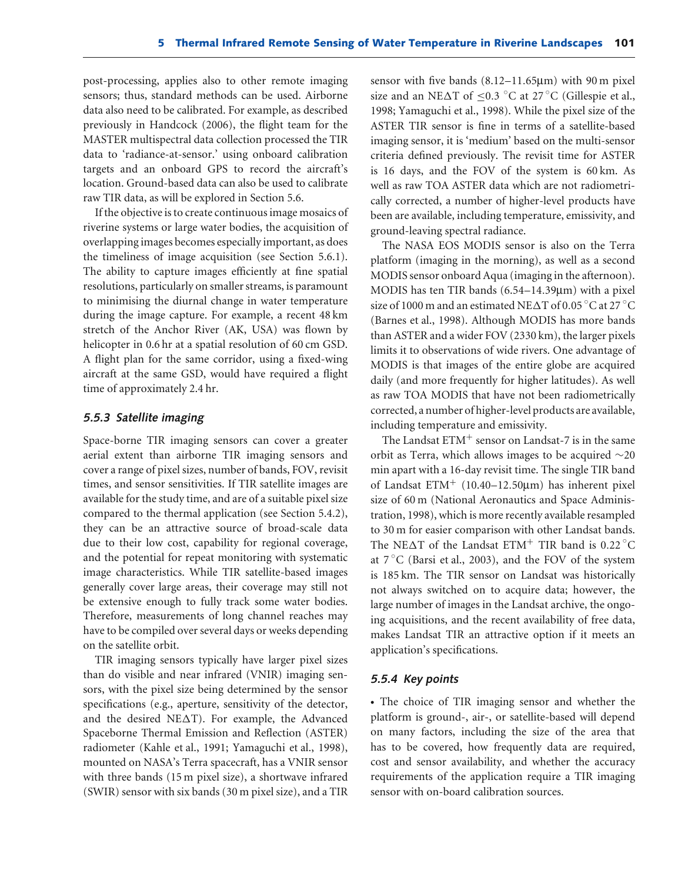post-processing, applies also to other remote imaging sensors; thus, standard methods can be used. Airborne data also need to be calibrated. For example, as described previously in Handcock (2006), the flight team for the MASTER multispectral data collection processed the TIR data to 'radiance-at-sensor.' using onboard calibration targets and an onboard GPS to record the aircraft's location. Ground-based data can also be used to calibrate raw TIR data, as will be explored in Section 5.6.

If the objective is to create continuous image mosaics of riverine systems or large water bodies, the acquisition of overlapping images becomes especially important, as does the timeliness of image acquisition (see Section 5.6.1). The ability to capture images efficiently at fine spatial resolutions, particularly on smaller streams, is paramount to minimising the diurnal change in water temperature during the image capture. For example, a recent 48 km stretch of the Anchor River (AK, USA) was flown by helicopter in 0.6 hr at a spatial resolution of 60 cm GSD. A flight plan for the same corridor, using a fixed-wing aircraft at the same GSD, would have required a flight time of approximately 2.4 hr.

#### **5.5.3 Satellite imaging**

Space-borne TIR imaging sensors can cover a greater aerial extent than airborne TIR imaging sensors and cover a range of pixel sizes, number of bands, FOV, revisit times, and sensor sensitivities. If TIR satellite images are available for the study time, and are of a suitable pixel size compared to the thermal application (see Section 5.4.2), they can be an attractive source of broad-scale data due to their low cost, capability for regional coverage, and the potential for repeat monitoring with systematic image characteristics. While TIR satellite-based images generally cover large areas, their coverage may still not be extensive enough to fully track some water bodies. Therefore, measurements of long channel reaches may have to be compiled over several days or weeks depending on the satellite orbit.

TIR imaging sensors typically have larger pixel sizes than do visible and near infrared (VNIR) imaging sensors, with the pixel size being determined by the sensor specifications (e.g., aperture, sensitivity of the detector, and the desired NEΔT). For example, the Advanced Spaceborne Thermal Emission and Reflection (ASTER) radiometer (Kahle et al., 1991; Yamaguchi et al., 1998), mounted on NASA's Terra spacecraft, has a VNIR sensor with three bands (15 m pixel size), a shortwave infrared (SWIR) sensor with six bands (30 m pixel size), and a TIR sensor with five bands (8.12–11.65μm) with 90 m pixel size and an NE $\Delta T$  of  $\leq 0.3$  °C at 27 °C (Gillespie et al., 1998; Yamaguchi et al., 1998). While the pixel size of the ASTER TIR sensor is fine in terms of a satellite-based imaging sensor, it is 'medium' based on the multi-sensor criteria defined previously. The revisit time for ASTER is 16 days, and the FOV of the system is 60 km. As well as raw TOA ASTER data which are not radiometrically corrected, a number of higher-level products have been are available, including temperature, emissivity, and ground-leaving spectral radiance.

The NASA EOS MODIS sensor is also on the Terra platform (imaging in the morning), as well as a second MODIS sensor onboard Aqua (imaging in the afternoon). MODIS has ten TIR bands (6.54–14.39μm) with a pixel size of 1000 m and an estimated NE $\Delta$ T of 0.05  $^{\circ}$ C at 27  $^{\circ}$ C (Barnes et al., 1998). Although MODIS has more bands than ASTER and a wider FOV (2330 km), the larger pixels limits it to observations of wide rivers. One advantage of MODIS is that images of the entire globe are acquired daily (and more frequently for higher latitudes). As well as raw TOA MODIS that have not been radiometrically corrected, a number of higher-level products are available, including temperature and emissivity.

The Landsat  $ETM$ <sup>+</sup> sensor on Landsat-7 is in the same orbit as Terra, which allows images to be acquired ∼20 min apart with a 16-day revisit time. The single TIR band of Landsat  $ETM<sup>+</sup>$  (10.40–12.50 $\mu$ m) has inherent pixel size of 60 m (National Aeronautics and Space Administration, 1998), which is more recently available resampled to 30 m for easier comparison with other Landsat bands. The NE $\Delta$ T of the Landsat ETM<sup>+</sup> TIR band is 0.22  $^{\circ}$ C at  $7^{\circ}$ C (Barsi et al., 2003), and the FOV of the system is 185 km. The TIR sensor on Landsat was historically not always switched on to acquire data; however, the large number of images in the Landsat archive, the ongoing acquisitions, and the recent availability of free data, makes Landsat TIR an attractive option if it meets an application's specifications.

#### **5.5.4 Key points**

• The choice of TIR imaging sensor and whether the platform is ground-, air-, or satellite-based will depend on many factors, including the size of the area that has to be covered, how frequently data are required, cost and sensor availability, and whether the accuracy requirements of the application require a TIR imaging sensor with on-board calibration sources.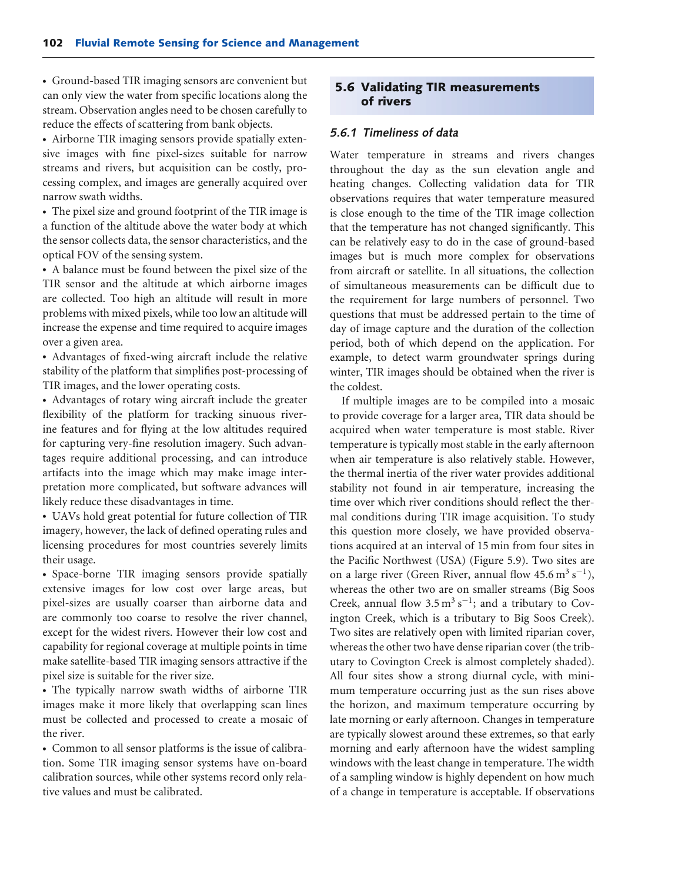• Ground-based TIR imaging sensors are convenient but can only view the water from specific locations along the stream. Observation angles need to be chosen carefully to reduce the effects of scattering from bank objects.

• Airborne TIR imaging sensors provide spatially extensive images with fine pixel-sizes suitable for narrow streams and rivers, but acquisition can be costly, processing complex, and images are generally acquired over narrow swath widths.

• The pixel size and ground footprint of the TIR image is a function of the altitude above the water body at which the sensor collects data, the sensor characteristics, and the optical FOV of the sensing system.

• A balance must be found between the pixel size of the TIR sensor and the altitude at which airborne images are collected. Too high an altitude will result in more problems with mixed pixels, while too low an altitude will increase the expense and time required to acquire images over a given area.

• Advantages of fixed-wing aircraft include the relative stability of the platform that simplifies post-processing of TIR images, and the lower operating costs.

• Advantages of rotary wing aircraft include the greater flexibility of the platform for tracking sinuous riverine features and for flying at the low altitudes required for capturing very-fine resolution imagery. Such advantages require additional processing, and can introduce artifacts into the image which may make image interpretation more complicated, but software advances will likely reduce these disadvantages in time.

• UAVs hold great potential for future collection of TIR imagery, however, the lack of defined operating rules and licensing procedures for most countries severely limits their usage.

• Space-borne TIR imaging sensors provide spatially extensive images for low cost over large areas, but pixel-sizes are usually coarser than airborne data and are commonly too coarse to resolve the river channel, except for the widest rivers. However their low cost and capability for regional coverage at multiple points in time make satellite-based TIR imaging sensors attractive if the pixel size is suitable for the river size.

• The typically narrow swath widths of airborne TIR images make it more likely that overlapping scan lines must be collected and processed to create a mosaic of the river.

• Common to all sensor platforms is the issue of calibration. Some TIR imaging sensor systems have on-board calibration sources, while other systems record only relative values and must be calibrated.

# **5.6 Validating TIR measurements of rivers**

# **5.6.1 Timeliness of data**

Water temperature in streams and rivers changes throughout the day as the sun elevation angle and heating changes. Collecting validation data for TIR observations requires that water temperature measured is close enough to the time of the TIR image collection that the temperature has not changed significantly. This can be relatively easy to do in the case of ground-based images but is much more complex for observations from aircraft or satellite. In all situations, the collection of simultaneous measurements can be difficult due to the requirement for large numbers of personnel. Two questions that must be addressed pertain to the time of day of image capture and the duration of the collection period, both of which depend on the application. For example, to detect warm groundwater springs during winter, TIR images should be obtained when the river is the coldest.

If multiple images are to be compiled into a mosaic to provide coverage for a larger area, TIR data should be acquired when water temperature is most stable. River temperature is typically most stable in the early afternoon when air temperature is also relatively stable. However, the thermal inertia of the river water provides additional stability not found in air temperature, increasing the time over which river conditions should reflect the thermal conditions during TIR image acquisition. To study this question more closely, we have provided observations acquired at an interval of 15 min from four sites in the Pacific Northwest (USA) (Figure 5.9). Two sites are on a large river (Green River, annual flow  $45.6 \text{ m}^3 \text{ s}^{-1}$ ), whereas the other two are on smaller streams (Big Soos Creek, annual flow  $3.5 \text{ m}^3 \text{ s}^{-1}$ ; and a tributary to Covington Creek, which is a tributary to Big Soos Creek). Two sites are relatively open with limited riparian cover, whereas the other two have dense riparian cover (the tributary to Covington Creek is almost completely shaded). All four sites show a strong diurnal cycle, with minimum temperature occurring just as the sun rises above the horizon, and maximum temperature occurring by late morning or early afternoon. Changes in temperature are typically slowest around these extremes, so that early morning and early afternoon have the widest sampling windows with the least change in temperature. The width of a sampling window is highly dependent on how much of a change in temperature is acceptable. If observations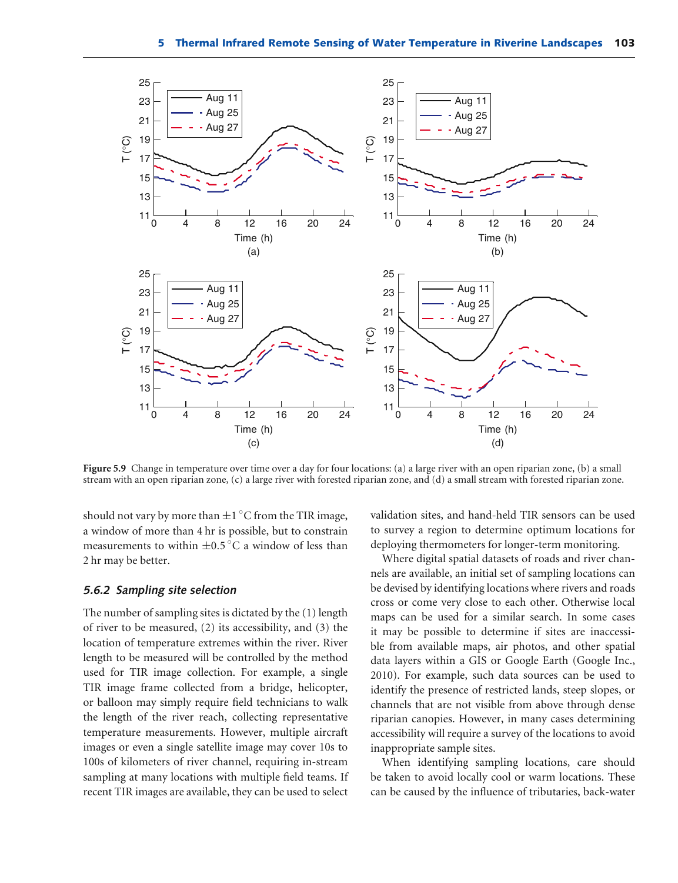

**Figure 5.9** Change in temperature over time over a day for four locations: (a) a large river with an open riparian zone, (b) a small stream with an open riparian zone, (c) a large river with forested riparian zone, and (d) a small stream with forested riparian zone.

should not vary by more than  $\pm 1$  °C from the TIR image, a window of more than 4 hr is possible, but to constrain measurements to within  $\pm 0.5^{\circ}$ C a window of less than 2 hr may be better.

# **5.6.2 Sampling site selection**

The number of sampling sites is dictated by the (1) length of river to be measured, (2) its accessibility, and (3) the location of temperature extremes within the river. River length to be measured will be controlled by the method used for TIR image collection. For example, a single TIR image frame collected from a bridge, helicopter, or balloon may simply require field technicians to walk the length of the river reach, collecting representative temperature measurements. However, multiple aircraft images or even a single satellite image may cover 10s to 100s of kilometers of river channel, requiring in-stream sampling at many locations with multiple field teams. If recent TIR images are available, they can be used to select validation sites, and hand-held TIR sensors can be used to survey a region to determine optimum locations for deploying thermometers for longer-term monitoring.

Where digital spatial datasets of roads and river channels are available, an initial set of sampling locations can be devised by identifying locations where rivers and roads cross or come very close to each other. Otherwise local maps can be used for a similar search. In some cases it may be possible to determine if sites are inaccessible from available maps, air photos, and other spatial data layers within a GIS or Google Earth (Google Inc., 2010). For example, such data sources can be used to identify the presence of restricted lands, steep slopes, or channels that are not visible from above through dense riparian canopies. However, in many cases determining accessibility will require a survey of the locations to avoid inappropriate sample sites.

When identifying sampling locations, care should be taken to avoid locally cool or warm locations. These can be caused by the influence of tributaries, back-water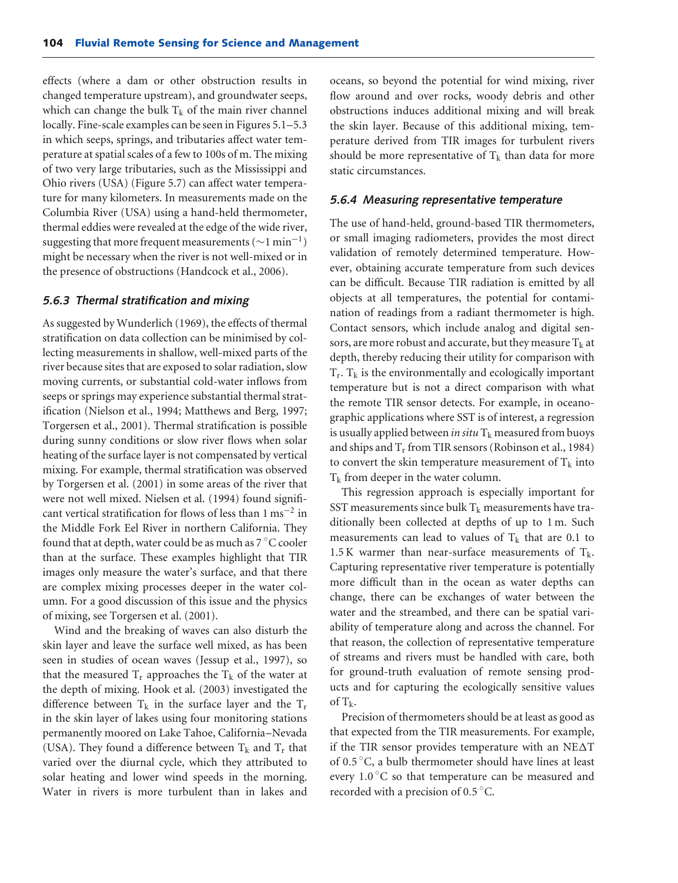effects (where a dam or other obstruction results in changed temperature upstream), and groundwater seeps, which can change the bulk  $T_k$  of the main river channel locally. Fine-scale examples can be seen in Figures 5.1–5.3 in which seeps, springs, and tributaries affect water temperature at spatial scales of a few to 100s of m. The mixing of two very large tributaries, such as the Mississippi and Ohio rivers (USA) (Figure 5.7) can affect water temperature for many kilometers. In measurements made on the Columbia River (USA) using a hand-held thermometer, thermal eddies were revealed at the edge of the wide river, suggesting that more frequent measurements ( $\sim$ 1 min<sup>-1</sup>) might be necessary when the river is not well-mixed or in the presence of obstructions (Handcock et al., 2006).

## **5.6.3 Thermal stratification and mixing**

As suggested by Wunderlich (1969), the effects of thermal stratification on data collection can be minimised by collecting measurements in shallow, well-mixed parts of the river because sites that are exposed to solar radiation, slow moving currents, or substantial cold-water inflows from seeps or springs may experience substantial thermal stratification (Nielson et al., 1994; Matthews and Berg, 1997; Torgersen et al., 2001). Thermal stratification is possible during sunny conditions or slow river flows when solar heating of the surface layer is not compensated by vertical mixing. For example, thermal stratification was observed by Torgersen et al. (2001) in some areas of the river that were not well mixed. Nielsen et al. (1994) found significant vertical stratification for flows of less than 1 ms−<sup>2</sup> in the Middle Fork Eel River in northern California. They found that at depth, water could be as much as 7  $^{\circ}$ C cooler than at the surface. These examples highlight that TIR images only measure the water's surface, and that there are complex mixing processes deeper in the water column. For a good discussion of this issue and the physics of mixing, see Torgersen et al. (2001).

Wind and the breaking of waves can also disturb the skin layer and leave the surface well mixed, as has been seen in studies of ocean waves (Jessup et al., 1997), so that the measured  $T_r$  approaches the  $T_k$  of the water at the depth of mixing. Hook et al. (2003) investigated the difference between  $T_k$  in the surface layer and the  $T_r$ in the skin layer of lakes using four monitoring stations permanently moored on Lake Tahoe, California–Nevada (USA). They found a difference between  $T_k$  and  $T_r$  that varied over the diurnal cycle, which they attributed to solar heating and lower wind speeds in the morning. Water in rivers is more turbulent than in lakes and

oceans, so beyond the potential for wind mixing, river flow around and over rocks, woody debris and other obstructions induces additional mixing and will break the skin layer. Because of this additional mixing, temperature derived from TIR images for turbulent rivers should be more representative of  $T_k$  than data for more static circumstances.

#### **5.6.4 Measuring representative temperature**

The use of hand-held, ground-based TIR thermometers, or small imaging radiometers, provides the most direct validation of remotely determined temperature. However, obtaining accurate temperature from such devices can be difficult. Because TIR radiation is emitted by all objects at all temperatures, the potential for contamination of readings from a radiant thermometer is high. Contact sensors, which include analog and digital sensors, are more robust and accurate, but they measure  $T_k$  at depth, thereby reducing their utility for comparison with  $T_r$ .  $T_k$  is the environmentally and ecologically important temperature but is not a direct comparison with what the remote TIR sensor detects. For example, in oceanographic applications where SST is of interest, a regression is usually applied between *in situ*  $T_k$  measured from buoys and ships and  $T_r$  from TIR sensors (Robinson et al., 1984) to convert the skin temperature measurement of  $T_k$  into  $T_k$  from deeper in the water column.

This regression approach is especially important for SST measurements since bulk  $T_k$  measurements have traditionally been collected at depths of up to 1 m. Such measurements can lead to values of  $T_k$  that are 0.1 to 1.5 K warmer than near-surface measurements of  $T_k$ . Capturing representative river temperature is potentially more difficult than in the ocean as water depths can change, there can be exchanges of water between the water and the streambed, and there can be spatial variability of temperature along and across the channel. For that reason, the collection of representative temperature of streams and rivers must be handled with care, both for ground-truth evaluation of remote sensing products and for capturing the ecologically sensitive values of  $T_k$ .

Precision of thermometers should be at least as good as that expected from the TIR measurements. For example, if the TIR sensor provides temperature with an NEΔT of 0.5 ◦ C, a bulb thermometer should have lines at least every 1.0 °C so that temperature can be measured and recorded with a precision of 0.5 ◦ C.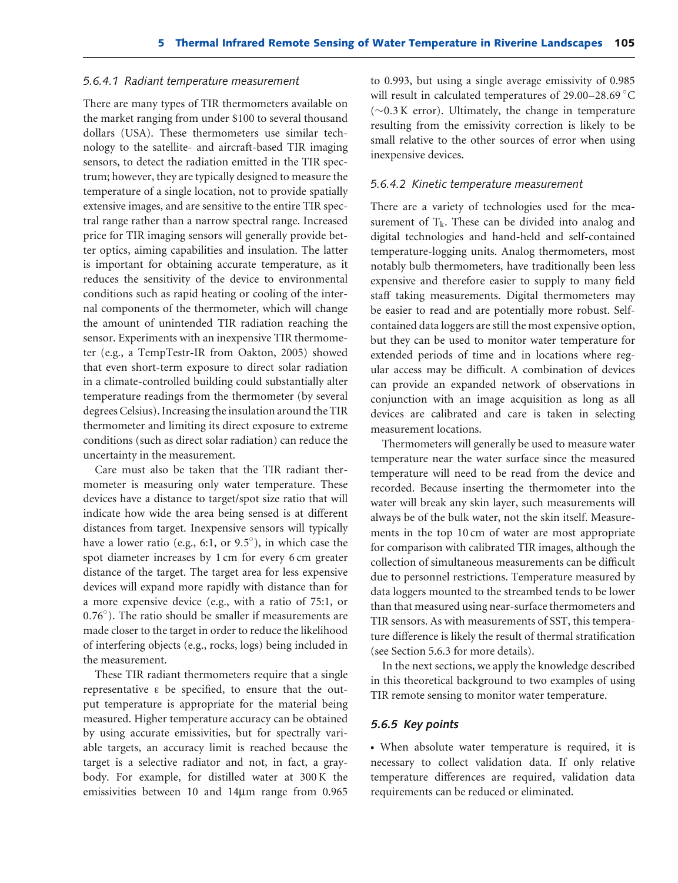#### *5.6.4.1 Radiant temperature measurement*

There are many types of TIR thermometers available on the market ranging from under \$100 to several thousand dollars (USA). These thermometers use similar technology to the satellite- and aircraft-based TIR imaging sensors, to detect the radiation emitted in the TIR spectrum; however, they are typically designed to measure the temperature of a single location, not to provide spatially extensive images, and are sensitive to the entire TIR spectral range rather than a narrow spectral range. Increased price for TIR imaging sensors will generally provide better optics, aiming capabilities and insulation. The latter is important for obtaining accurate temperature, as it reduces the sensitivity of the device to environmental conditions such as rapid heating or cooling of the internal components of the thermometer, which will change the amount of unintended TIR radiation reaching the sensor. Experiments with an inexpensive TIR thermometer (e.g., a TempTestr-IR from Oakton, 2005) showed that even short-term exposure to direct solar radiation in a climate-controlled building could substantially alter temperature readings from the thermometer (by several degrees Celsius). Increasing the insulation around the TIR thermometer and limiting its direct exposure to extreme conditions (such as direct solar radiation) can reduce the uncertainty in the measurement.

Care must also be taken that the TIR radiant thermometer is measuring only water temperature. These devices have a distance to target/spot size ratio that will indicate how wide the area being sensed is at different distances from target. Inexpensive sensors will typically have a lower ratio (e.g., 6:1, or 9.5◦ ), in which case the spot diameter increases by 1 cm for every 6 cm greater distance of the target. The target area for less expensive devices will expand more rapidly with distance than for a more expensive device (e.g., with a ratio of 75:1, or 0.76◦ ). The ratio should be smaller if measurements are made closer to the target in order to reduce the likelihood of interfering objects (e.g., rocks, logs) being included in the measurement.

These TIR radiant thermometers require that a single representative ε be specified, to ensure that the output temperature is appropriate for the material being measured. Higher temperature accuracy can be obtained by using accurate emissivities, but for spectrally variable targets, an accuracy limit is reached because the target is a selective radiator and not, in fact, a graybody. For example, for distilled water at 300 K the emissivities between 10 and 14μm range from 0.965

to 0.993, but using a single average emissivity of 0.985 will result in calculated temperatures of 29.00–28.69  $^{\circ} \mathrm C$ (∼0.3 K error). Ultimately, the change in temperature resulting from the emissivity correction is likely to be small relative to the other sources of error when using inexpensive devices.

#### *5.6.4.2 Kinetic temperature measurement*

There are a variety of technologies used for the measurement of  $T_k$ . These can be divided into analog and digital technologies and hand-held and self-contained temperature-logging units. Analog thermometers, most notably bulb thermometers, have traditionally been less expensive and therefore easier to supply to many field staff taking measurements. Digital thermometers may be easier to read and are potentially more robust. Selfcontained data loggers are still the most expensive option, but they can be used to monitor water temperature for extended periods of time and in locations where regular access may be difficult. A combination of devices can provide an expanded network of observations in conjunction with an image acquisition as long as all devices are calibrated and care is taken in selecting measurement locations.

Thermometers will generally be used to measure water temperature near the water surface since the measured temperature will need to be read from the device and recorded. Because inserting the thermometer into the water will break any skin layer, such measurements will always be of the bulk water, not the skin itself. Measurements in the top 10 cm of water are most appropriate for comparison with calibrated TIR images, although the collection of simultaneous measurements can be difficult due to personnel restrictions. Temperature measured by data loggers mounted to the streambed tends to be lower than that measured using near-surface thermometers and TIR sensors. As with measurements of SST, this temperature difference is likely the result of thermal stratification (see Section 5.6.3 for more details).

In the next sections, we apply the knowledge described in this theoretical background to two examples of using TIR remote sensing to monitor water temperature.

#### **5.6.5 Key points**

• When absolute water temperature is required, it is necessary to collect validation data. If only relative temperature differences are required, validation data requirements can be reduced or eliminated.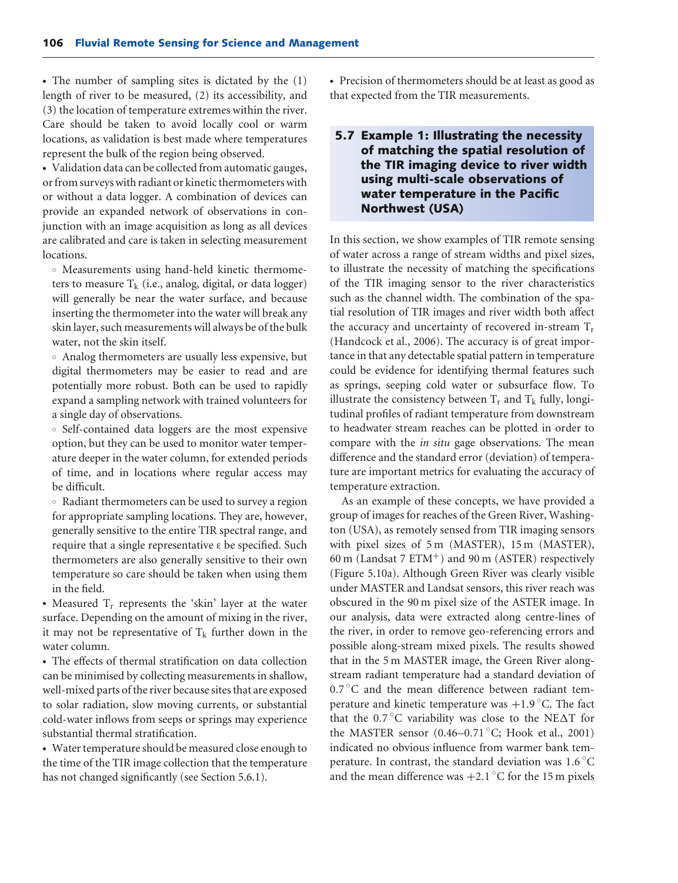• The number of sampling sites is dictated by the (1) length of river to be measured, (2) its accessibility, and (3) the location of temperature extremes within the river. Care should be taken to avoid locally cool or warm locations, as validation is best made where temperatures represent the bulk of the region being observed.

• Validation data can be collected from automatic gauges, or from surveys with radiant or kinetic thermometers with or without a data logger. A combination of devices can provide an expanded network of observations in conjunction with an image acquisition as long as all devices are calibrated and care is taken in selecting measurement locations.

◦ Measurements using hand-held kinetic thermometers to measure  $T_k$  (i.e., analog, digital, or data logger) will generally be near the water surface, and because inserting the thermometer into the water will break any skin layer, such measurements will always be of the bulk water, not the skin itself.

◦ Analog thermometers are usually less expensive, but digital thermometers may be easier to read and are potentially more robust. Both can be used to rapidly expand a sampling network with trained volunteers for a single day of observations.

◦ Self-contained data loggers are the most expensive option, but they can be used to monitor water temperature deeper in the water column, for extended periods of time, and in locations where regular access may be difficult.

◦ Radiant thermometers can be used to survey a region for appropriate sampling locations. They are, however, generally sensitive to the entire TIR spectral range, and require that a single representative ε be specified. Such thermometers are also generally sensitive to their own temperature so care should be taken when using them in the field.

• Measured  $T_r$  represents the 'skin' layer at the water surface. Depending on the amount of mixing in the river, it may not be representative of  $T_k$  further down in the water column.

• The effects of thermal stratification on data collection can be minimised by collecting measurements in shallow, well-mixed parts of the river because sites that are exposed to solar radiation, slow moving currents, or substantial cold-water inflows from seeps or springs may experience substantial thermal stratification.

• Water temperature should be measured close enough to the time of the TIR image collection that the temperature has not changed significantly (see Section 5.6.1).

• Precision of thermometers should be at least as good as that expected from the TIR measurements.

# **5.7 Example 1: Illustrating the necessity of matching the spatial resolution of the TIR imaging device to river width using multi-scale observations of water temperature in the Pacific Northwest (USA)**

In this section, we show examples of TIR remote sensing of water across a range of stream widths and pixel sizes, to illustrate the necessity of matching the specifications of the TIR imaging sensor to the river characteristics such as the channel width. The combination of the spatial resolution of TIR images and river width both affect the accuracy and uncertainty of recovered in-stream  $T_r$ (Handcock et al., 2006). The accuracy is of great importance in that any detectable spatial pattern in temperature could be evidence for identifying thermal features such as springs, seeping cold water or subsurface flow. To illustrate the consistency between  $T_r$  and  $T_k$  fully, longitudinal profiles of radiant temperature from downstream to headwater stream reaches can be plotted in order to compare with the *in situ* gage observations. The mean difference and the standard error (deviation) of temperature are important metrics for evaluating the accuracy of temperature extraction.

As an example of these concepts, we have provided a group of images for reaches of the Green River, Washington (USA), as remotely sensed from TIR imaging sensors with pixel sizes of 5 m (MASTER), 15 m (MASTER), 60 m (Landsat 7 ETM+) and 90 m (ASTER) respectively (Figure 5.10a). Although Green River was clearly visible under MASTER and Landsat sensors, this river reach was obscured in the 90 m pixel size of the ASTER image. In our analysis, data were extracted along centre-lines of the river, in order to remove geo-referencing errors and possible along-stream mixed pixels. The results showed that in the 5 m MASTER image, the Green River alongstream radiant temperature had a standard deviation of  $0.7\,^{\circ}$ C and the mean difference between radiant temperature and kinetic temperature was  $+1.9\degree$ C. The fact that the 0.7 °C variability was close to the NE $\Delta$ T for the MASTER sensor  $(0.46-0.71\degree \text{C}$ ; Hook et al., 2001) indicated no obvious influence from warmer bank temperature. In contrast, the standard deviation was 1.6  $^{\circ}\mathrm{C}$ and the mean difference was  $+2.1\degree$ C for the 15 m pixels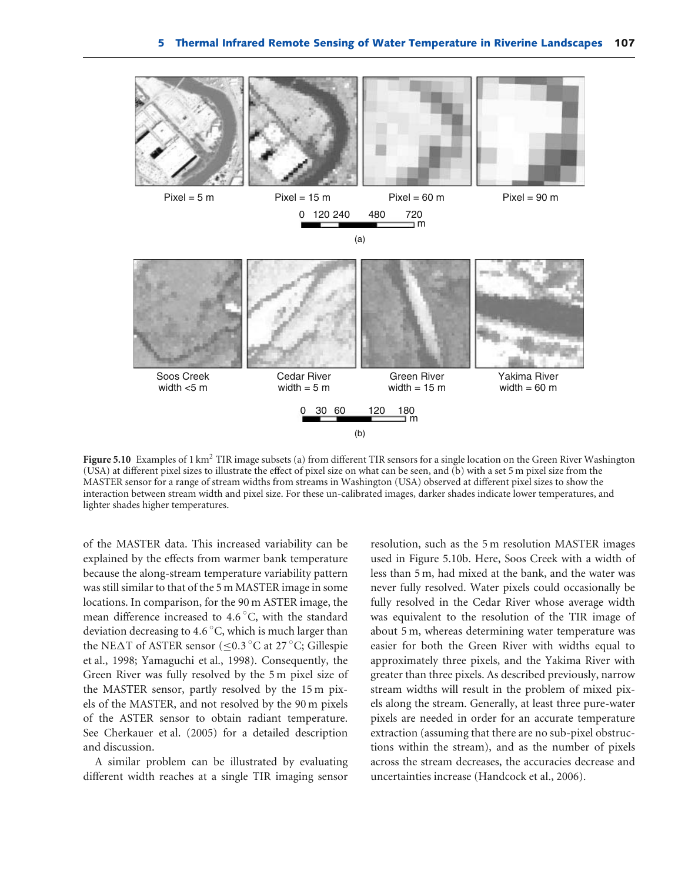

**Figure 5.10** Examples of 1 km<sup>2</sup> TIR image subsets (a) from different TIR sensors for a single location on the Green River Washington (USA) at different pixel sizes to illustrate the effect of pixel size on what can be seen, and (b) with a set 5 m pixel size from the MASTER sensor for a range of stream widths from streams in Washington (USA) observed at different pixel sizes to show the interaction between stream width and pixel size. For these un-calibrated images, darker shades indicate lower temperatures, and lighter shades higher temperatures.

of the MASTER data. This increased variability can be explained by the effects from warmer bank temperature because the along-stream temperature variability pattern was still similar to that of the 5 m MASTER image in some locations. In comparison, for the 90 m ASTER image, the mean difference increased to 4.6 ◦ C, with the standard deviation decreasing to 4.6  $^{\circ}$ C, which is much larger than the NEΔT of ASTER sensor (≤0.3 °C at 27 °C; Gillespie et al., 1998; Yamaguchi et al., 1998). Consequently, the Green River was fully resolved by the 5 m pixel size of the MASTER sensor, partly resolved by the 15 m pixels of the MASTER, and not resolved by the 90 m pixels of the ASTER sensor to obtain radiant temperature. See Cherkauer et al. (2005) for a detailed description and discussion.

A similar problem can be illustrated by evaluating different width reaches at a single TIR imaging sensor

resolution, such as the 5 m resolution MASTER images used in Figure 5.10b. Here, Soos Creek with a width of less than 5 m, had mixed at the bank, and the water was never fully resolved. Water pixels could occasionally be fully resolved in the Cedar River whose average width was equivalent to the resolution of the TIR image of about 5 m, whereas determining water temperature was easier for both the Green River with widths equal to approximately three pixels, and the Yakima River with greater than three pixels. As described previously, narrow stream widths will result in the problem of mixed pixels along the stream. Generally, at least three pure-water pixels are needed in order for an accurate temperature extraction (assuming that there are no sub-pixel obstructions within the stream), and as the number of pixels across the stream decreases, the accuracies decrease and uncertainties increase (Handcock et al., 2006).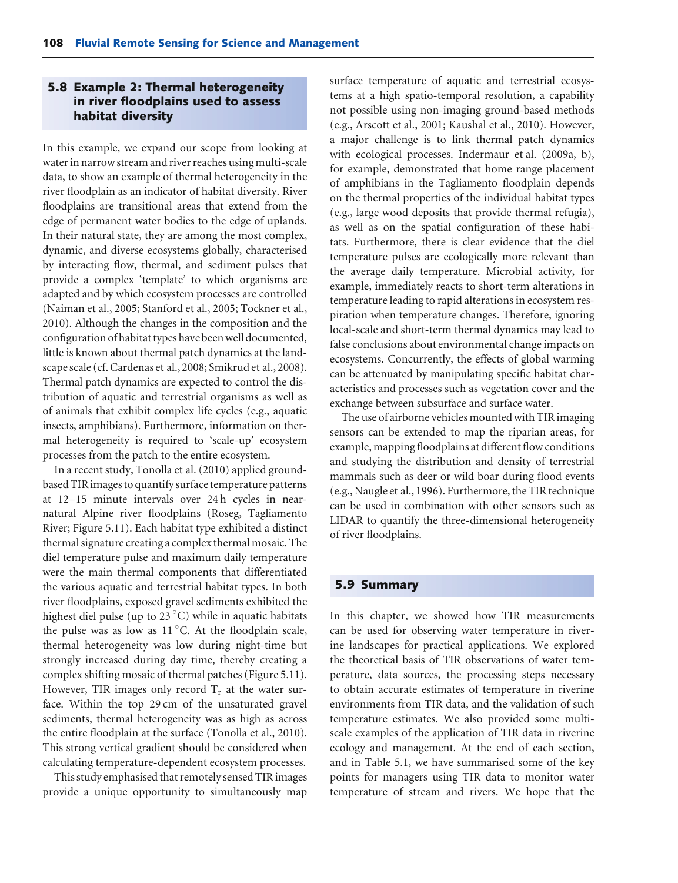# **5.8 Example 2: Thermal heterogeneity in river floodplains used to assess habitat diversity**

In this example, we expand our scope from looking at water in narrow stream and river reaches using multi-scale data, to show an example of thermal heterogeneity in the river floodplain as an indicator of habitat diversity. River floodplains are transitional areas that extend from the edge of permanent water bodies to the edge of uplands. In their natural state, they are among the most complex, dynamic, and diverse ecosystems globally, characterised by interacting flow, thermal, and sediment pulses that provide a complex 'template' to which organisms are adapted and by which ecosystem processes are controlled (Naiman et al., 2005; Stanford et al., 2005; Tockner et al., 2010). Although the changes in the composition and the configuration of habitat types have beenwell documented, little is known about thermal patch dynamics at the landscape scale (cf. Cardenas et al., 2008; Smikrud et al., 2008). Thermal patch dynamics are expected to control the distribution of aquatic and terrestrial organisms as well as of animals that exhibit complex life cycles (e.g., aquatic insects, amphibians). Furthermore, information on thermal heterogeneity is required to 'scale-up' ecosystem processes from the patch to the entire ecosystem.

In a recent study, Tonolla et al. (2010) applied groundbased TIRimages to quantify surface temperature patterns at 12–15 minute intervals over 24 h cycles in nearnatural Alpine river floodplains (Roseg, Tagliamento River; Figure 5.11). Each habitat type exhibited a distinct thermal signature creating a complex thermal mosaic. The diel temperature pulse and maximum daily temperature were the main thermal components that differentiated the various aquatic and terrestrial habitat types. In both river floodplains, exposed gravel sediments exhibited the highest diel pulse (up to 23  $^{\circ}$ C) while in aquatic habitats the pulse was as low as  $11^{\circ}$ C. At the floodplain scale, thermal heterogeneity was low during night-time but strongly increased during day time, thereby creating a complex shifting mosaic of thermal patches (Figure 5.11). However, TIR images only record  $T_r$  at the water surface. Within the top 29 cm of the unsaturated gravel sediments, thermal heterogeneity was as high as across the entire floodplain at the surface (Tonolla et al., 2010). This strong vertical gradient should be considered when calculating temperature-dependent ecosystem processes.

This study emphasised that remotely sensed TIR images provide a unique opportunity to simultaneously map

surface temperature of aquatic and terrestrial ecosystems at a high spatio-temporal resolution, a capability not possible using non-imaging ground-based methods (e.g., Arscott et al., 2001; Kaushal et al., 2010). However, a major challenge is to link thermal patch dynamics with ecological processes. Indermaur et al. (2009a, b), for example, demonstrated that home range placement of amphibians in the Tagliamento floodplain depends on the thermal properties of the individual habitat types (e.g., large wood deposits that provide thermal refugia), as well as on the spatial configuration of these habitats. Furthermore, there is clear evidence that the diel temperature pulses are ecologically more relevant than the average daily temperature. Microbial activity, for example, immediately reacts to short-term alterations in temperature leading to rapid alterations in ecosystem respiration when temperature changes. Therefore, ignoring local-scale and short-term thermal dynamics may lead to false conclusions about environmental change impacts on ecosystems. Concurrently, the effects of global warming can be attenuated by manipulating specific habitat characteristics and processes such as vegetation cover and the exchange between subsurface and surface water.

The use of airborne vehicles mounted with TIR imaging sensors can be extended to map the riparian areas, for example, mapping floodplains at different flow conditions and studying the distribution and density of terrestrial mammals such as deer or wild boar during flood events (e.g., Naugle et al., 1996). Furthermore, the TIR technique can be used in combination with other sensors such as LIDAR to quantify the three-dimensional heterogeneity of river floodplains.

## **5.9 Summary**

In this chapter, we showed how TIR measurements can be used for observing water temperature in riverine landscapes for practical applications. We explored the theoretical basis of TIR observations of water temperature, data sources, the processing steps necessary to obtain accurate estimates of temperature in riverine environments from TIR data, and the validation of such temperature estimates. We also provided some multiscale examples of the application of TIR data in riverine ecology and management. At the end of each section, and in Table 5.1, we have summarised some of the key points for managers using TIR data to monitor water temperature of stream and rivers. We hope that the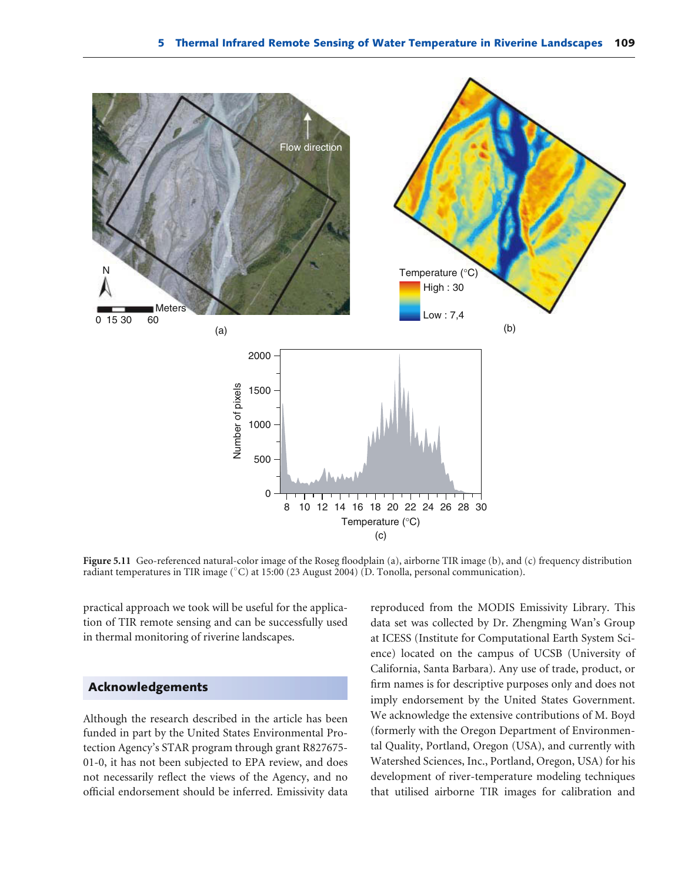

**Figure 5.11** Geo-referenced natural-color image of the Roseg floodplain (a), airborne TIR image (b), and (c) frequency distribution radiant temperatures in TIR image ( $^{\circ}$ C) at 15:00 (23 August 2004) (D. Tonolla, personal communication).

practical approach we took will be useful for the application of TIR remote sensing and can be successfully used in thermal monitoring of riverine landscapes.

## **Acknowledgements**

Although the research described in the article has been funded in part by the United States Environmental Protection Agency's STAR program through grant R827675- 01-0, it has not been subjected to EPA review, and does not necessarily reflect the views of the Agency, and no official endorsement should be inferred. Emissivity data reproduced from the MODIS Emissivity Library. This data set was collected by Dr. Zhengming Wan's Group at ICESS (Institute for Computational Earth System Science) located on the campus of UCSB (University of California, Santa Barbara). Any use of trade, product, or firm names is for descriptive purposes only and does not imply endorsement by the United States Government. We acknowledge the extensive contributions of M. Boyd (formerly with the Oregon Department of Environmental Quality, Portland, Oregon (USA), and currently with Watershed Sciences, Inc., Portland, Oregon, USA) for his development of river-temperature modeling techniques that utilised airborne TIR images for calibration and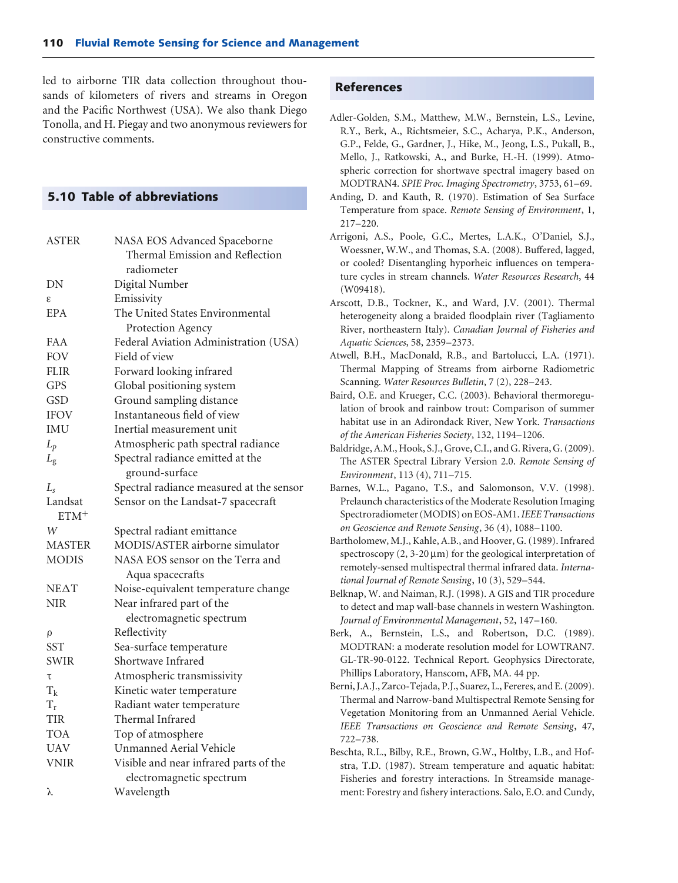led to airborne TIR data collection throughout thousands of kilometers of rivers and streams in Oregon and the Pacific Northwest (USA). We also thank Diego Tonolla, and H. Piegay and two anonymous reviewers for constructive comments.

# **5.10 Table of abbreviations**

| <b>ASTER</b>  | NASA EOS Advanced Spaceborne             |
|---------------|------------------------------------------|
|               | Thermal Emission and Reflection          |
|               | radiometer                               |
| DN            | Digital Number                           |
| E.            | Emissivity                               |
| <b>EPA</b>    | The United States Environmental          |
|               | Protection Agency                        |
| FAA           | Federal Aviation Administration (USA)    |
| <b>FOV</b>    | Field of view                            |
| <b>FLIR</b>   | Forward looking infrared                 |
| <b>GPS</b>    | Global positioning system                |
| <b>GSD</b>    | Ground sampling distance                 |
| <b>IFOV</b>   | Instantaneous field of view              |
| IMU           | Inertial measurement unit                |
| $L_p$         | Atmospheric path spectral radiance       |
| $L_{\rm g}$   | Spectral radiance emitted at the         |
|               | ground-surface                           |
| $L_{s}$       | Spectral radiance measured at the sensor |
| Landsat       | Sensor on the Landsat-7 spacecraft       |
| $ETM+$        |                                          |
| W             | Spectral radiant emittance               |
| <b>MASTER</b> | MODIS/ASTER airborne simulator           |
| <b>MODIS</b>  | NASA EOS sensor on the Terra and         |
|               | Aqua spacecrafts                         |
| $NE\Delta T$  | Noise-equivalent temperature change      |
| NIR           | Near infrared part of the                |
|               | electromagnetic spectrum                 |
| ρ             | Reflectivity                             |
| <b>SST</b>    | Sea-surface temperature                  |
| <b>SWIR</b>   | Shortwave Infrared                       |
| τ             | Atmospheric transmissivity               |
| $T_k$         | Kinetic water temperature                |
| $T_r$         | Radiant water temperature                |
| TIR           | Thermal Infrared                         |
| <b>TOA</b>    | Top of atmosphere                        |
| <b>UAV</b>    | Unmanned Aerial Vehicle                  |
| VNIR          | Visible and near infrared parts of the   |
|               | electromagnetic spectrum                 |
| λ             | Wavelength                               |

## **References**

- Adler-Golden, S.M., Matthew, M.W., Bernstein, L.S., Levine, R.Y., Berk, A., Richtsmeier, S.C., Acharya, P.K., Anderson, G.P., Felde, G., Gardner, J., Hike, M., Jeong, L.S., Pukall, B., Mello, J., Ratkowski, A., and Burke, H.-H. (1999). Atmospheric correction for shortwave spectral imagery based on MODTRAN4. *SPIE Proc. Imaging Spectrometry*, 3753, 61–69.
- Anding, D. and Kauth, R. (1970). Estimation of Sea Surface Temperature from space. *Remote Sensing of Environment*, 1, 217–220.
- Arrigoni, A.S., Poole, G.C., Mertes, L.A.K., O'Daniel, S.J., Woessner, W.W., and Thomas, S.A. (2008). Buffered, lagged, or cooled? Disentangling hyporheic influences on temperature cycles in stream channels. *Water Resources Research*, 44 (W09418).
- Arscott, D.B., Tockner, K., and Ward, J.V. (2001). Thermal heterogeneity along a braided floodplain river (Tagliamento River, northeastern Italy). *Canadian Journal of Fisheries and Aquatic Sciences*, 58, 2359–2373.
- Atwell, B.H., MacDonald, R.B., and Bartolucci, L.A. (1971). Thermal Mapping of Streams from airborne Radiometric Scanning. *Water Resources Bulletin*, 7 (2), 228–243.
- Baird, O.E. and Krueger, C.C. (2003). Behavioral thermoregulation of brook and rainbow trout: Comparison of summer habitat use in an Adirondack River, New York. *Transactions of the American Fisheries Society*, 132, 1194–1206.
- Baldridge, A.M., Hook, S.J., Grove, C.I., and G. Rivera, G. (2009). The ASTER Spectral Library Version 2.0. *Remote Sensing of Environment*, 113 (4), 711–715.
- Barnes, W.L., Pagano, T.S., and Salomonson, V.V. (1998). Prelaunch characteristics of the Moderate Resolution Imaging Spectroradiometer (MODIS) on EOS-AM1.*IEEE Transactions on Geoscience and Remote Sensing*, 36 (4), 1088–1100.
- Bartholomew, M.J., Kahle, A.B., and Hoover, G. (1989). Infrared spectroscopy  $(2, 3-20 \,\mu\text{m})$  for the geological interpretation of remotely-sensed multispectral thermal infrared data. *International Journal of Remote Sensing*, 10 (3), 529–544.
- Belknap, W. and Naiman, R.J. (1998). A GIS and TIR procedure to detect and map wall-base channels in western Washington. *Journal of Environmental Management*, 52, 147–160.
- Berk, A., Bernstein, L.S., and Robertson, D.C. (1989). MODTRAN: a moderate resolution model for LOWTRAN7. GL-TR-90-0122. Technical Report. Geophysics Directorate, Phillips Laboratory, Hanscom, AFB, MA. 44 pp.
- Berni, J.A.J., Zarco-Tejada, P.J., Suarez, L., Fereres, and E. (2009). Thermal and Narrow-band Multispectral Remote Sensing for Vegetation Monitoring from an Unmanned Aerial Vehicle. *IEEE Transactions on Geoscience and Remote Sensing*, 47, 722–738.
- Beschta, R.L., Bilby, R.E., Brown, G.W., Holtby, L.B., and Hofstra, T.D. (1987). Stream temperature and aquatic habitat: Fisheries and forestry interactions. In Streamside management: Forestry and fishery interactions. Salo, E.O. and Cundy,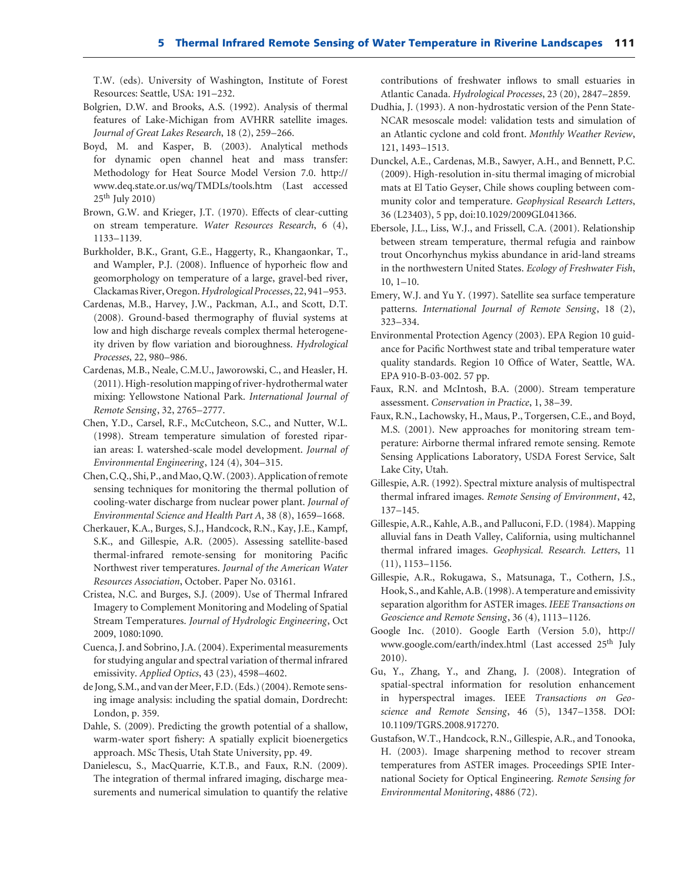T.W. (eds). University of Washington, Institute of Forest Resources: Seattle, USA: 191–232.

- Bolgrien, D.W. and Brooks, A.S. (1992). Analysis of thermal features of Lake-Michigan from AVHRR satellite images. *Journal of Great Lakes Research*, 18 (2), 259–266.
- Boyd, M. and Kasper, B. (2003). Analytical methods for dynamic open channel heat and mass transfer: Methodology for Heat Source Model Version 7.0. http:// www.deq.state.or.us/wq/TMDLs/tools.htm (Last accessed  $25<sup>th</sup>$  July 2010)
- Brown, G.W. and Krieger, J.T. (1970). Effects of clear-cutting on stream temperature. *Water Resources Research*, 6 (4), 1133–1139.
- Burkholder, B.K., Grant, G.E., Haggerty, R., Khangaonkar, T., and Wampler, P.J. (2008). Influence of hyporheic flow and geomorphology on temperature of a large, gravel-bed river, Clackamas River, Oregon.*Hydrological Processes*, 22, 941–953.
- Cardenas, M.B., Harvey, J.W., Packman, A.I., and Scott, D.T. (2008). Ground-based thermography of fluvial systems at low and high discharge reveals complex thermal heterogeneity driven by flow variation and bioroughness. *Hydrological Processes*, 22, 980–986.
- Cardenas, M.B., Neale, C.M.U., Jaworowski, C., and Heasler, H. (2011). High-resolution mapping of river-hydrothermal water mixing: Yellowstone National Park. *International Journal of Remote Sensing*, 32, 2765–2777.
- Chen, Y.D., Carsel, R.F., McCutcheon, S.C., and Nutter, W.L. (1998). Stream temperature simulation of forested riparian areas: I. watershed-scale model development. *Journal of Environmental Engineering*, 124 (4), 304–315.
- Chen, C.Q., Shi, P., and Mao, Q.W. (2003). Application of remote sensing techniques for monitoring the thermal pollution of cooling-water discharge from nuclear power plant. *Journal of Environmental Science and Health Part A*, 38 (8), 1659–1668.
- Cherkauer, K.A., Burges, S.J., Handcock, R.N., Kay, J.E., Kampf, S.K., and Gillespie, A.R. (2005). Assessing satellite-based thermal-infrared remote-sensing for monitoring Pacific Northwest river temperatures. *Journal of the American Water Resources Association*, October. Paper No. 03161.
- Cristea, N.C. and Burges, S.J. (2009). Use of Thermal Infrared Imagery to Complement Monitoring and Modeling of Spatial Stream Temperatures. *Journal of Hydrologic Engineering*, Oct 2009, 1080:1090.
- Cuenca, J. and Sobrino, J.A. (2004). Experimental measurements for studying angular and spectral variation of thermal infrared emissivity. *Applied Optics*, 43 (23), 4598–4602.
- de Jong, S.M., and van der Meer, F.D. (Eds.) (2004). Remote sensing image analysis: including the spatial domain, Dordrecht: London, p. 359.
- Dahle, S. (2009). Predicting the growth potential of a shallow, warm-water sport fishery: A spatially explicit bioenergetics approach. MSc Thesis, Utah State University, pp. 49.
- Danielescu, S., MacQuarrie, K.T.B., and Faux, R.N. (2009). The integration of thermal infrared imaging, discharge measurements and numerical simulation to quantify the relative

contributions of freshwater inflows to small estuaries in Atlantic Canada. *Hydrological Processes*, 23 (20), 2847–2859.

- Dudhia, J. (1993). A non-hydrostatic version of the Penn State-NCAR mesoscale model: validation tests and simulation of an Atlantic cyclone and cold front. *Monthly Weather Review*, 121, 1493–1513.
- Dunckel, A.E., Cardenas, M.B., Sawyer, A.H., and Bennett, P.C. (2009). High-resolution in-situ thermal imaging of microbial mats at El Tatio Geyser, Chile shows coupling between community color and temperature. *Geophysical Research Letters*, 36 (L23403), 5 pp, doi:10.1029/2009GL041366.
- Ebersole, J.L., Liss, W.J., and Frissell, C.A. (2001). Relationship between stream temperature, thermal refugia and rainbow trout Oncorhynchus mykiss abundance in arid-land streams in the northwestern United States. *Ecology of Freshwater Fish*, 10, 1–10.
- Emery, W.J. and Yu Y. (1997). Satellite sea surface temperature patterns. *International Journal of Remote Sensing*, 18 (2), 323–334.
- Environmental Protection Agency (2003). EPA Region 10 guidance for Pacific Northwest state and tribal temperature water quality standards. Region 10 Office of Water, Seattle, WA. EPA 910-B-03-002. 57 pp.
- Faux, R.N. and McIntosh, B.A. (2000). Stream temperature assessment. *Conservation in Practice*, 1, 38–39.
- Faux, R.N., Lachowsky, H., Maus, P., Torgersen, C.E., and Boyd, M.S. (2001). New approaches for monitoring stream temperature: Airborne thermal infrared remote sensing. Remote Sensing Applications Laboratory, USDA Forest Service, Salt Lake City, Utah.
- Gillespie, A.R. (1992). Spectral mixture analysis of multispectral thermal infrared images. *Remote Sensing of Environment*, 42, 137–145.
- Gillespie, A.R., Kahle, A.B., and Palluconi, F.D. (1984). Mapping alluvial fans in Death Valley, California, using multichannel thermal infrared images. *Geophysical. Research. Letters*, 11 (11), 1153–1156.
- Gillespie, A.R., Rokugawa, S., Matsunaga, T., Cothern, J.S., Hook, S., and Kahle, A.B. (1998). A temperature and emissivity separation algorithm for ASTER images. *IEEE Transactions on Geoscience and Remote Sensing*, 36 (4), 1113–1126.
- Google Inc. (2010). Google Earth (Version 5.0), http:// www.google.com/earth/index.html (Last accessed 25<sup>th</sup> July 2010).
- Gu, Y., Zhang, Y., and Zhang, J. (2008). Integration of spatial-spectral information for resolution enhancement in hyperspectral images. IEEE *Transactions on Geoscience and Remote Sensing*, 46 (5), 1347–1358. DOI: 10.1109/TGRS.2008.917270.
- Gustafson, W.T., Handcock, R.N., Gillespie, A.R., and Tonooka, H. (2003). Image sharpening method to recover stream temperatures from ASTER images. Proceedings SPIE International Society for Optical Engineering. *Remote Sensing for Environmental Monitoring*, 4886 (72).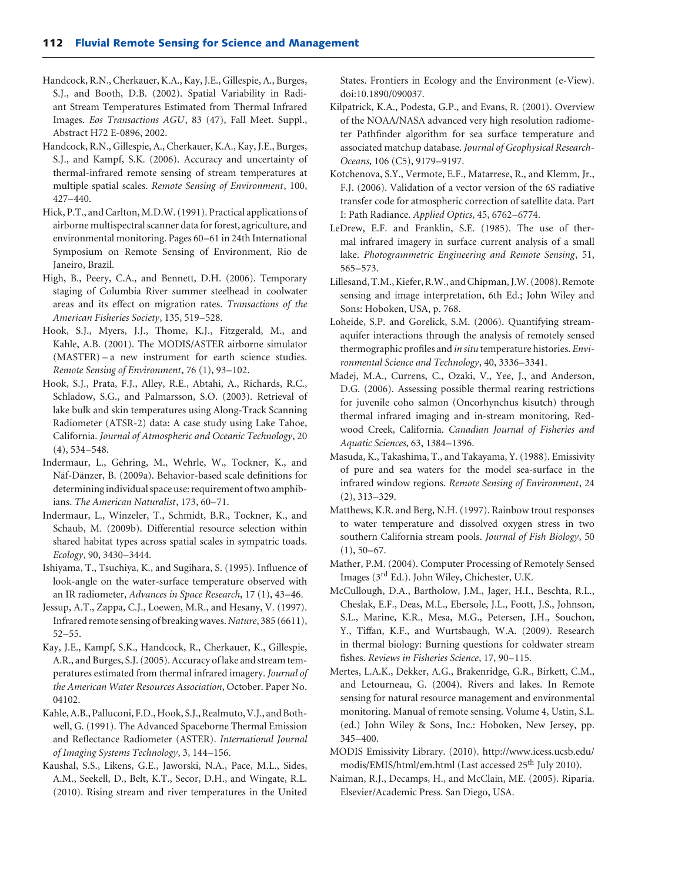- Handcock, R.N., Cherkauer, K.A., Kay, J.E., Gillespie, A., Burges, S.J., and Booth, D.B. (2002). Spatial Variability in Radiant Stream Temperatures Estimated from Thermal Infrared Images. *Eos Transactions AGU*, 83 (47), Fall Meet. Suppl., Abstract H72 E-0896, 2002.
- Handcock, R.N., Gillespie, A., Cherkauer, K.A., Kay, J.E., Burges, S.J., and Kampf, S.K. (2006). Accuracy and uncertainty of thermal-infrared remote sensing of stream temperatures at multiple spatial scales. *Remote Sensing of Environment*, 100, 427–440.
- Hick, P.T., and Carlton, M.D.W. (1991). Practical applications of airborne multispectral scanner data for forest, agriculture, and environmental monitoring. Pages 60–61 in 24th International Symposium on Remote Sensing of Environment, Rio de Janeiro, Brazil.
- High, B., Peery, C.A., and Bennett, D.H. (2006). Temporary staging of Columbia River summer steelhead in coolwater areas and its effect on migration rates. *Transactions of the American Fisheries Society*, 135, 519–528.
- Hook, S.J., Myers, J.J., Thome, K.J., Fitzgerald, M., and Kahle, A.B. (2001). The MODIS/ASTER airborne simulator (MASTER) – a new instrument for earth science studies. *Remote Sensing of Environment*, 76 (1), 93–102.
- Hook, S.J., Prata, F.J., Alley, R.E., Abtahi, A., Richards, R.C., Schladow, S.G., and Palmarsson, S.O. (2003). Retrieval of lake bulk and skin temperatures using Along-Track Scanning Radiometer (ATSR-2) data: A case study using Lake Tahoe, California. *Journal of Atmospheric and Oceanic Technology*, 20 (4), 534–548.
- Indermaur, L., Gehring, M., Wehrle, W., Tockner, K., and Näf-Dänzer, B. (2009a). Behavior-based scale definitions for determining individual space use: requirement of two amphibians. *The American Naturalist*, 173, 60–71.
- Indermaur, L., Winzeler, T., Schmidt, B.R., Tockner, K., and Schaub, M. (2009b). Differential resource selection within shared habitat types across spatial scales in sympatric toads. *Ecology*, 90, 3430–3444.
- Ishiyama, T., Tsuchiya, K., and Sugihara, S. (1995). Influence of look-angle on the water-surface temperature observed with an IR radiometer, *Advances in Space Research*, 17 (1), 43–46.
- Jessup, A.T., Zappa, C.J., Loewen, M.R., and Hesany, V. (1997). Infrared remote sensing of breaking waves.*Nature*, 385 (6611), 52–55.
- Kay, J.E., Kampf, S.K., Handcock, R., Cherkauer, K., Gillespie, A.R., and Burges, S.J. (2005). Accuracy of lake and stream temperatures estimated from thermal infrared imagery. *Journal of the American Water Resources Association*, October. Paper No. 04102.
- Kahle, A.B., Palluconi, F.D., Hook, S.J., Realmuto, V.J., and Bothwell, G. (1991). The Advanced Spaceborne Thermal Emission and Reflectance Radiometer (ASTER). *International Journal of Imaging Systems Technology*, 3, 144–156.
- Kaushal, S.S., Likens, G.E., Jaworski, N.A., Pace, M.L., Sides, A.M., Seekell, D., Belt, K.T., Secor, D.H., and Wingate, R.L. (2010). Rising stream and river temperatures in the United

States. Frontiers in Ecology and the Environment (e-View). doi:10.1890/090037.

- Kilpatrick, K.A., Podesta, G.P., and Evans, R. (2001). Overview of the NOAA/NASA advanced very high resolution radiometer Pathfinder algorithm for sea surface temperature and associated matchup database. *Journal of Geophysical Research-Oceans*, 106 (C5), 9179–9197.
- Kotchenova, S.Y., Vermote, E.F., Matarrese, R., and Klemm, Jr., F.J. (2006). Validation of a vector version of the 6S radiative transfer code for atmospheric correction of satellite data. Part I: Path Radiance. *Applied Optics*, 45, 6762–6774.
- LeDrew, E.F. and Franklin, S.E. (1985). The use of thermal infrared imagery in surface current analysis of a small lake. *Photogrammetric Engineering and Remote Sensing*, 51, 565–573.
- Lillesand, T.M., Kiefer, R.W., and Chipman, J.W. (2008). Remote sensing and image interpretation, 6th Ed.; John Wiley and Sons: Hoboken, USA, p. 768.
- Loheide, S.P. and Gorelick, S.M. (2006). Quantifying streamaquifer interactions through the analysis of remotely sensed thermographic profiles and *in situ* temperature histories. *Environmental Science and Technology*, 40, 3336–3341.
- Madej, M.A., Currens, C., Ozaki, V., Yee, J., and Anderson, D.G. (2006). Assessing possible thermal rearing restrictions for juvenile coho salmon (Oncorhynchus kisutch) through thermal infrared imaging and in-stream monitoring, Redwood Creek, California. *Canadian Journal of Fisheries and Aquatic Sciences*, 63, 1384–1396.
- Masuda, K., Takashima, T., and Takayama, Y. (1988). Emissivity of pure and sea waters for the model sea-surface in the infrared window regions. *Remote Sensing of Environment*, 24 (2), 313–329.
- Matthews, K.R. and Berg, N.H. (1997). Rainbow trout responses to water temperature and dissolved oxygen stress in two southern California stream pools. *Journal of Fish Biology*, 50  $(1), 50-67.$
- Mather, P.M. (2004). Computer Processing of Remotely Sensed Images (3rd Ed.). John Wiley, Chichester, U.K.
- McCullough, D.A., Bartholow, J.M., Jager, H.I., Beschta, R.L., Cheslak, E.F., Deas, M.L., Ebersole, J.L., Foott, J.S., Johnson, S.L., Marine, K.R., Mesa, M.G., Petersen, J.H., Souchon, Y., Tiffan, K.F., and Wurtsbaugh, W.A. (2009). Research in thermal biology: Burning questions for coldwater stream fishes. *Reviews in Fisheries Science*, 17, 90–115.
- Mertes, L.A.K., Dekker, A.G., Brakenridge, G.R., Birkett, C.M., and Letourneau, G. (2004). Rivers and lakes. In Remote sensing for natural resource management and environmental monitoring. Manual of remote sensing. Volume 4, Ustin, S.L. (ed.) John Wiley & Sons, Inc.: Hoboken, New Jersey, pp. 345–400.
- MODIS Emissivity Library. (2010). http://www.icess.ucsb.edu/ modis/EMIS/html/em.html (Last accessed 25<sup>th</sup> July 2010).
- Naiman, R.J., Decamps, H., and McClain, ME. (2005). Riparia. Elsevier/Academic Press. San Diego, USA.